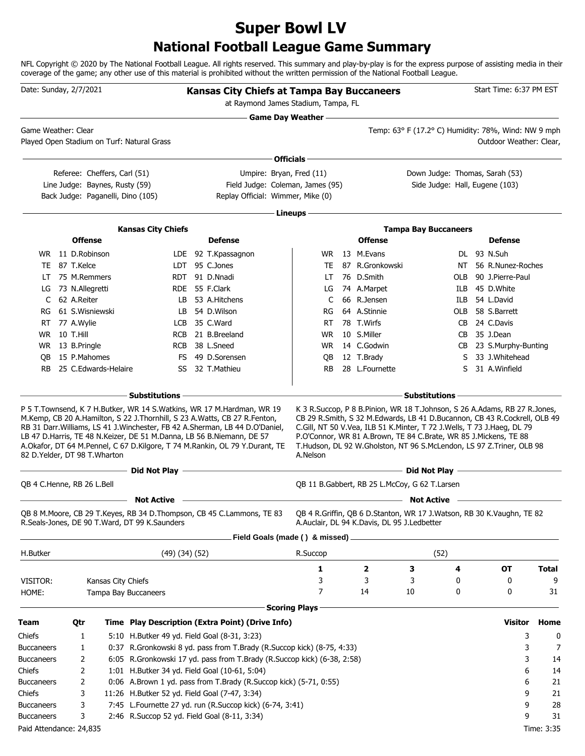## **National Football League Game Summary Super Bowl LV**

NFL Copyright © 2020 by The National Football League. All rights reserved. This summary and play-by-play is for the express purpose of assisting media in their coverage of the game; any other use of this material is prohibited without the written permission of the National Football League.

| Date: Sunday, 2/7/2021       |                                                                   |                                |                                                                |                                                                    | <b>Kansas City Chiefs at Tampa Bay Buccaneers</b><br>at Raymond James Stadium, Tampa, FL                                                                                                                                                |                            |                                                                                                                                                                                                                                                         |                                                                  |     | Start Time: 6:37 PM EST          |              |
|------------------------------|-------------------------------------------------------------------|--------------------------------|----------------------------------------------------------------|--------------------------------------------------------------------|-----------------------------------------------------------------------------------------------------------------------------------------------------------------------------------------------------------------------------------------|----------------------------|---------------------------------------------------------------------------------------------------------------------------------------------------------------------------------------------------------------------------------------------------------|------------------------------------------------------------------|-----|----------------------------------|--------------|
| Game Weather: Clear          |                                                                   |                                |                                                                | Played Open Stadium on Turf: Natural Grass                         |                                                                                                                                                                                                                                         | <b>Game Day Weather --</b> |                                                                                                                                                                                                                                                         | Temp: 63° F (17.2° C) Humidity: 78%, Wind: NW 9 mph              |     | Outdoor Weather: Clear,          |              |
|                              |                                                                   |                                |                                                                |                                                                    |                                                                                                                                                                                                                                         | Officials -                |                                                                                                                                                                                                                                                         |                                                                  |     |                                  |              |
|                              |                                                                   |                                | Referee: Cheffers, Carl (51)<br>Line Judge: Baynes, Rusty (59) | Back Judge: Paganelli, Dino (105)                                  | Umpire: Bryan, Fred (11)<br>Field Judge: Coleman, James (95)<br>Replay Official: Wimmer, Mike (0)                                                                                                                                       |                            |                                                                                                                                                                                                                                                         | Down Judge: Thomas, Sarah (53)<br>Side Judge: Hall, Eugene (103) |     |                                  |              |
|                              |                                                                   |                                |                                                                |                                                                    |                                                                                                                                                                                                                                         |                            |                                                                                                                                                                                                                                                         |                                                                  |     |                                  |              |
|                              |                                                                   |                                |                                                                |                                                                    |                                                                                                                                                                                                                                         | Lineups -                  |                                                                                                                                                                                                                                                         |                                                                  |     |                                  |              |
|                              |                                                                   | <b>Offense</b>                 |                                                                | <b>Kansas City Chiefs</b>                                          | <b>Defense</b>                                                                                                                                                                                                                          |                            | <b>Offense</b>                                                                                                                                                                                                                                          | <b>Tampa Bay Buccaneers</b>                                      |     | <b>Defense</b>                   |              |
|                              |                                                                   |                                |                                                                |                                                                    |                                                                                                                                                                                                                                         |                            |                                                                                                                                                                                                                                                         |                                                                  |     |                                  |              |
| TE                           |                                                                   | WR 11 D.Robinson<br>87 T.Kelce |                                                                |                                                                    | LDE 92 T.Kpassagnon<br>LDT 95 C.Jones                                                                                                                                                                                                   | <b>WR</b><br>TE            | 13 M.Evans<br>87 R.Gronkowski                                                                                                                                                                                                                           |                                                                  | NT  | DL 93 N.Suh<br>56 R.Nunez-Roches |              |
| LT                           |                                                                   | 75 M.Remmers                   |                                                                |                                                                    | RDT 91 D.Nnadi                                                                                                                                                                                                                          | LT                         | 76 D.Smith                                                                                                                                                                                                                                              |                                                                  | OLB | 90 J.Pierre-Paul                 |              |
| LG                           |                                                                   | 73 N.Allegretti                |                                                                |                                                                    | RDE 55 F.Clark                                                                                                                                                                                                                          | LG                         | 74 A.Marpet                                                                                                                                                                                                                                             |                                                                  | ILB | 45 D.White                       |              |
| C                            |                                                                   | 62 A.Reiter                    |                                                                | LB.                                                                | 53 A.Hitchens                                                                                                                                                                                                                           | C                          | 66 R.Jensen                                                                                                                                                                                                                                             |                                                                  | ILB | 54 L.David                       |              |
| RG                           |                                                                   | 61 S.Wisniewski                |                                                                |                                                                    | LB 54 D.Wilson                                                                                                                                                                                                                          | RG                         | 64 A.Stinnie                                                                                                                                                                                                                                            |                                                                  |     | OLB 58 S.Barrett                 |              |
| RT                           |                                                                   | 77 A.Wylie                     |                                                                | LCB                                                                | 35 C.Ward                                                                                                                                                                                                                               | RT                         | 78 T.Wirfs                                                                                                                                                                                                                                              |                                                                  |     | CB 24 C.Davis                    |              |
| WR.                          |                                                                   |                                |                                                                | <b>RCB</b>                                                         | 21 B.Breeland                                                                                                                                                                                                                           | <b>WR</b>                  | 10 S.Miller                                                                                                                                                                                                                                             |                                                                  | CB  | 35 J.Dean                        |              |
| <b>WR</b>                    |                                                                   |                                |                                                                |                                                                    | RCB 38 L.Sneed                                                                                                                                                                                                                          | WR.                        | 14 C.Godwin                                                                                                                                                                                                                                             |                                                                  |     | CB 23 S.Murphy-Bunting           |              |
| OВ                           |                                                                   |                                |                                                                | FS.                                                                | 49 D.Sorensen                                                                                                                                                                                                                           | QB                         | 12 T.Brady                                                                                                                                                                                                                                              |                                                                  | S   | 33 J.Whitehead                   |              |
| <b>RB</b>                    | 10 T.Hill<br>13 B.Pringle<br>15 P.Mahomes<br>25 C.Edwards-Helaire |                                |                                                                |                                                                    | 32 T.Mathieu                                                                                                                                                                                                                            | RB                         | 28 L.Fournette                                                                                                                                                                                                                                          |                                                                  | S   | 31 A.Winfield                    |              |
|                              |                                                                   |                                |                                                                | – Substitutions –                                                  |                                                                                                                                                                                                                                         |                            |                                                                                                                                                                                                                                                         | Substitutions –                                                  |     |                                  |              |
| 82 D.Yelder, DT 98 T.Wharton |                                                                   |                                |                                                                | Did Not Play                                                       | RB 31 Darr. Williams, LS 41 J. Winchester, FB 42 A. Sherman, LB 44 D. O'Daniel,<br>LB 47 D.Harris, TE 48 N.Keizer, DE 51 M.Danna, LB 56 B.Niemann, DE 57<br>A.Okafor, DT 64 M.Pennel, C 67 D.Kilgore, T 74 M.Rankin, OL 79 Y.Durant, TE | A.Nelson                   | C.Gill, NT 50 V.Vea, ILB 51 K.Minter, T 72 J.Wells, T 73 J.Haeg, DL 79<br>P.O'Connor, WR 81 A.Brown, TE 84 C.Brate, WR 85 J.Mickens, TE 88<br>T.Hudson, DL 92 W.Gholston, NT 96 S.McLendon, LS 97 Z.Triner, OLB 98<br><b>Example 2</b> Did Not Play $-$ |                                                                  |     |                                  |              |
|                              |                                                                   |                                |                                                                |                                                                    |                                                                                                                                                                                                                                         |                            |                                                                                                                                                                                                                                                         |                                                                  |     |                                  |              |
| QB 4 C.Henne, RB 26 L.Bell   |                                                                   |                                |                                                                |                                                                    |                                                                                                                                                                                                                                         |                            | OB 11 B.Gabbert, RB 25 L.McCoy, G 62 T.Larsen                                                                                                                                                                                                           |                                                                  |     |                                  |              |
|                              |                                                                   |                                |                                                                | <b>Not Active</b><br>R.Seals-Jones, DE 90 T.Ward, DT 99 K.Saunders | QB 8 M.Moore, CB 29 T.Keyes, RB 34 D.Thompson, CB 45 C.Lammons, TE 83                                                                                                                                                                   |                            | QB 4 R.Griffin, QB 6 D.Stanton, WR 17 J.Watson, RB 30 K.Vaughn, TE 82<br>A.Auclair, DL 94 K.Davis, DL 95 J.Ledbetter                                                                                                                                    | <b>Not Active</b>                                                |     |                                  |              |
|                              |                                                                   |                                |                                                                |                                                                    | Field Goals (made () & missed) _                                                                                                                                                                                                        |                            |                                                                                                                                                                                                                                                         |                                                                  |     |                                  |              |
| H.Butker                     |                                                                   |                                |                                                                | $(49)$ $(34)$ $(52)$                                               |                                                                                                                                                                                                                                         | R.Succop                   |                                                                                                                                                                                                                                                         | (52)                                                             |     |                                  |              |
|                              |                                                                   |                                |                                                                |                                                                    |                                                                                                                                                                                                                                         | 1                          | $\overline{\mathbf{2}}$                                                                                                                                                                                                                                 | 3                                                                | 4   | <b>OT</b>                        | <b>Total</b> |
| VISITOR:                     |                                                                   |                                | Kansas City Chiefs                                             |                                                                    |                                                                                                                                                                                                                                         | 3                          | 3                                                                                                                                                                                                                                                       | 3                                                                | 0   | 0                                | 9            |
| HOME:                        |                                                                   |                                |                                                                | Tampa Bay Buccaneers                                               |                                                                                                                                                                                                                                         | 7                          | 14                                                                                                                                                                                                                                                      | 10                                                               | 0   | 0                                | 31           |
|                              |                                                                   |                                |                                                                |                                                                    |                                                                                                                                                                                                                                         | <b>Scoring Plays</b>       |                                                                                                                                                                                                                                                         |                                                                  |     |                                  |              |
| <b>Team</b>                  |                                                                   | Qtr                            |                                                                |                                                                    | Time Play Description (Extra Point) (Drive Info)                                                                                                                                                                                        |                            |                                                                                                                                                                                                                                                         |                                                                  |     | Visitor                          | Home         |
| Chiefs                       |                                                                   | 1                              |                                                                | 5:10 H.Butker 49 yd. Field Goal (8-31, 3:23)                       |                                                                                                                                                                                                                                         |                            |                                                                                                                                                                                                                                                         |                                                                  |     | 3                                | 0            |
| <b>Buccaneers</b>            |                                                                   | 1                              |                                                                |                                                                    | 0:37 R.Gronkowski 8 yd. pass from T.Brady (R.Succop kick) (8-75, 4:33)                                                                                                                                                                  |                            |                                                                                                                                                                                                                                                         |                                                                  |     | 3                                | 7            |
| <b>Buccaneers</b>            |                                                                   | 2                              |                                                                |                                                                    | 6:05 R.Gronkowski 17 yd. pass from T.Brady (R.Succop kick) (6-38, 2:58)                                                                                                                                                                 |                            |                                                                                                                                                                                                                                                         |                                                                  |     | 3                                | 14           |
| Chiefs                       |                                                                   | 2                              |                                                                | 1:01 H.Butker 34 yd. Field Goal (10-61, 5:04)                      |                                                                                                                                                                                                                                         |                            |                                                                                                                                                                                                                                                         |                                                                  |     | 6                                | 14           |
| <b>Buccaneers</b><br>Chiefs  |                                                                   | 2<br>3                         |                                                                | 11:26 H.Butker 52 yd. Field Goal (7-47, 3:34)                      | 0:06 A.Brown 1 yd. pass from T.Brady (R.Succop kick) (5-71, 0:55)                                                                                                                                                                       |                            |                                                                                                                                                                                                                                                         |                                                                  |     | 6<br>9                           | 21<br>21     |
| <b>Buccaneers</b>            |                                                                   | 3                              |                                                                |                                                                    | 7:45 L.Fournette 27 yd. run (R.Succop kick) (6-74, 3:41)                                                                                                                                                                                |                            |                                                                                                                                                                                                                                                         |                                                                  |     | 9                                | 28           |
| <b>Buccaneers</b>            |                                                                   | 3                              |                                                                | 2:46 R.Succop 52 yd. Field Goal (8-11, 3:34)                       |                                                                                                                                                                                                                                         |                            |                                                                                                                                                                                                                                                         |                                                                  |     | 9                                | 31           |
| Paid Attendance: 24,835      |                                                                   |                                |                                                                |                                                                    |                                                                                                                                                                                                                                         |                            |                                                                                                                                                                                                                                                         |                                                                  |     |                                  | Time: 3:35   |
|                              |                                                                   |                                |                                                                |                                                                    |                                                                                                                                                                                                                                         |                            |                                                                                                                                                                                                                                                         |                                                                  |     |                                  |              |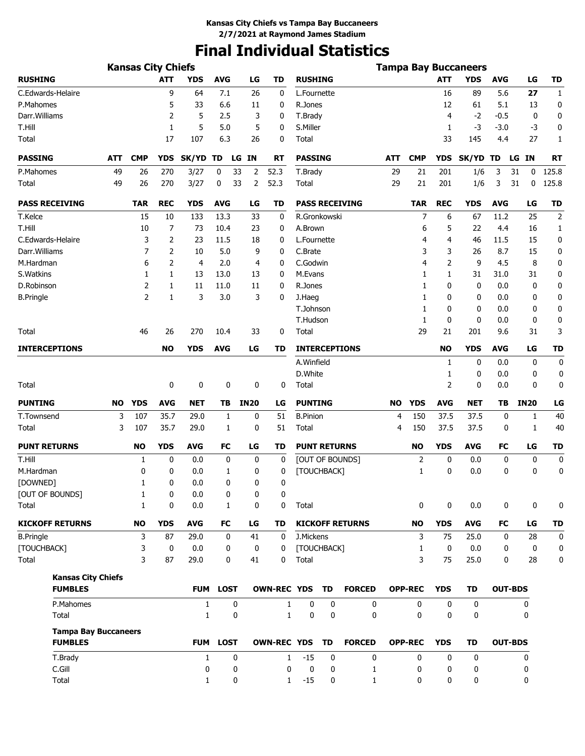# **Final Individual Statistics**

|                             |           | <b>Kansas City Chiefs</b> |                |              |                 |             |                       |                     |             |                        |            |                |                | <b>Tampa Bay Buccaneers</b> |                |                |                |
|-----------------------------|-----------|---------------------------|----------------|--------------|-----------------|-------------|-----------------------|---------------------|-------------|------------------------|------------|----------------|----------------|-----------------------------|----------------|----------------|----------------|
| <b>RUSHING</b>              |           |                           | <b>ATT</b>     | <b>YDS</b>   | <b>AVG</b>      | LG          | TD                    | <b>RUSHING</b>      |             |                        |            |                | <b>ATT</b>     | <b>YDS</b>                  | <b>AVG</b>     | LG             | TD             |
| C.Edwards-Helaire           |           |                           | 9              | 64           | 7.1             | 26          | 0                     | L.Fournette         |             |                        |            |                | 16             | 89                          | 5.6            | 27             | $\mathbf{1}$   |
| P.Mahomes                   |           |                           | 5              | 33           | 6.6             | 11          | 0                     | R.Jones             |             |                        |            |                | 12             | 61                          | 5.1            | 13             | 0              |
| Darr. Williams              |           |                           | 2              | 5            | 2.5             | 3           | 0                     | T.Brady             |             |                        |            |                | 4              | $-2$                        | $-0.5$         | 0              | 0              |
| T.Hill                      |           |                           | $\mathbf{1}$   | 5            | 5.0             | 5           | 0                     | S.Miller            |             |                        |            |                | 1              | $-3$                        | $-3.0$         | -3             | 0              |
| Total                       |           |                           | 17             | 107          | 6.3             | 26          | 0                     | Total               |             |                        |            |                | 33             | 145                         | 4.4            | 27             | 1              |
| <b>PASSING</b>              | ATT       | <b>CMP</b>                | <b>YDS</b>     | SK/YD TD     | LG              | <b>IN</b>   | RT                    | <b>PASSING</b>      |             |                        | <b>ATT</b> | <b>CMP</b>     | <b>YDS</b>     | SK/YD TD                    |                | LG IN          | RT             |
| P.Mahomes                   | 49        | 26                        | 270            | 3/27         | 0<br>33         | 2           | 52.3                  | T.Brady             |             |                        | 29         | 21             | 201            | 1/6                         | 3              | 31<br>0        | 125.8          |
| Total                       | 49        | 26                        | 270            | 3/27         | 0<br>33         | 2           | 52.3                  | <b>Total</b>        |             |                        | 29         | 21             | 201            | 1/6                         | 3              | 31<br>0        | 125.8          |
| <b>PASS RECEIVING</b>       |           | <b>TAR</b>                | <b>REC</b>     | <b>YDS</b>   | <b>AVG</b>      | LG          | TD                    |                     |             | <b>PASS RECEIVING</b>  |            | <b>TAR</b>     | <b>REC</b>     | YDS                         | <b>AVG</b>     | LG             | <b>TD</b>      |
| T.Kelce                     |           | 15                        | 10             | 133          | 13.3            | 33          | 0                     | R.Gronkowski        |             |                        |            | 7              | 6              | 67                          | 11.2           | 25             | $\overline{2}$ |
| T.Hill                      |           | 10                        | 7              | 73           | 10.4            | 23          | 0                     | A.Brown             |             |                        |            | 6              | 5              | 22                          | 4.4            | 16             | 1              |
| C.Edwards-Helaire           |           | 3                         | 2              | 23           | 11.5            | 18          | 0                     | L.Fournette         |             |                        |            | 4              | 4              | 46                          | 11.5           | 15             | 0              |
| Darr. Williams              |           | $\overline{7}$            | $\overline{2}$ | 10           | 5.0             | 9           | 0                     | C.Brate             |             |                        |            | 3              | 3              | 26                          | 8.7            | 15             | 0              |
| M.Hardman                   |           | 6                         | $\overline{2}$ | 4            | 2.0             | 4           | 0                     | C.Godwin            |             |                        |            | 4              | $\overline{2}$ | 9                           | 4.5            | 8              | 0              |
| S.Watkins                   |           | 1                         | 1              | 13           | 13.0            | 13          | 0                     | M.Evans             |             |                        |            | 1              | 1              | 31                          | 31.0           | 31             | 0              |
| D.Robinson                  |           | $\overline{2}$            | 1              | 11           | 11.0            | 11          | 0                     | R.Jones             |             |                        |            | 1              | 0              | 0                           | 0.0            | 0              | 0              |
| <b>B.Pringle</b>            |           | $\overline{2}$            | 1              | 3            | 3.0             | 3           | 0                     | J.Haeg              |             |                        |            | 1              | 0              | 0                           | 0.0            | 0              | 0              |
|                             |           |                           |                |              |                 |             |                       | T.Johnson           |             |                        |            | 1              | 0              | 0                           | 0.0            | 0              | 0              |
|                             |           |                           |                |              |                 |             |                       | T.Hudson            |             |                        |            | 1              | 0              | 0                           | 0.0            | 0              | 0              |
| Total                       |           | 46                        | 26             | 270          | 10.4            | 33          | 0                     | Total               |             |                        |            | 29             | 21             | 201                         | 9.6            | 31             | 3              |
| <b>INTERCEPTIONS</b>        |           |                           | <b>NO</b>      | <b>YDS</b>   | <b>AVG</b>      | LG          | TD                    |                     |             | <b>INTERCEPTIONS</b>   |            |                | <b>NO</b>      | <b>YDS</b>                  | <b>AVG</b>     | LG             | <b>TD</b>      |
|                             |           |                           |                |              |                 |             |                       | A.Winfield          |             |                        |            |                | 1              | 0                           | 0.0            | 0              | 0              |
|                             |           |                           |                |              |                 |             |                       | D.White             |             |                        |            |                | 1              | 0                           | 0.0            | 0              | 0              |
| Total                       |           |                           | 0              | 0            | 0               | 0           | 0                     | Total               |             |                        |            |                | 2              | 0                           | 0.0            | 0              | 0              |
| <b>PUNTING</b>              | <b>NO</b> | <b>YDS</b>                | <b>AVG</b>     | <b>NET</b>   | ΤВ              | <b>IN20</b> | LG                    | <b>PUNTING</b>      |             |                        | <b>NO</b>  | <b>YDS</b>     | <b>AVG</b>     | <b>NET</b>                  | TΒ             | <b>IN20</b>    | LG             |
| T.Townsend                  | 3         | 107                       | 35.7           | 29.0         | 1               | 0           | 51                    | <b>B.Pinion</b>     |             |                        | 4          | 150            | 37.5           | 37.5                        | 0              | 1              | 40             |
| Total                       | 3         | 107                       | 35.7           | 29.0         | 1               | 0           | 51                    | Total               |             |                        | 4          | 150            | 37.5           | 37.5                        | 0              | 1              | 40             |
| <b>PUNT RETURNS</b>         |           | <b>NO</b>                 | <b>YDS</b>     | <b>AVG</b>   | <b>FC</b>       | LG          | TD                    | <b>PUNT RETURNS</b> |             |                        |            | <b>NO</b>      | <b>YDS</b>     | <b>AVG</b>                  | FC             | LG             | <b>TD</b>      |
| T.Hill                      |           | 1                         | 0              | 0.0          | 0               | 0           | 0                     |                     |             | [OUT OF BOUNDS]        |            | 2              | 0              | 0.0                         | 0              | 0              | 0              |
| M.Hardman                   |           | 0                         | 0              | 0.0          | 1               | 0           | 0                     | [TOUCHBACK]         |             |                        |            | $\mathbf{1}$   | 0              | 0.0                         | 0              | 0              | 0              |
| [DOWNED]                    |           | 1                         | 0              | 0.0          | 0               | 0           | 0                     |                     |             |                        |            |                |                |                             |                |                |                |
| [OUT OF BOUNDS]             |           | 1                         | 0              | 0.0          | 0               | 0           | 0                     |                     |             |                        |            |                |                |                             |                |                |                |
| Total                       |           | 1                         | 0              | 0.0          | $\mathbf{1}$    | 0           | 0                     | Total               |             |                        |            | 0              | 0              | 0.0                         | 0              | 0              | 0              |
| <b>KICKOFF RETURNS</b>      |           | <b>NO</b>                 | <b>YDS</b>     | <b>AVG</b>   | FC              | LG          | TD                    |                     |             | <b>KICKOFF RETURNS</b> |            | <b>NO</b>      | <b>YDS</b>     | <b>AVG</b>                  | FC             | LG             | <b>TD</b>      |
| <b>B.Pringle</b>            |           | 3                         | 87             | 29.0         | 0               | 41          | 0                     | J.Mickens           |             |                        |            | 3              | 75             | 25.0                        | 0              | 28             | 0              |
| [TOUCHBACK]                 |           | 3                         | $\mathbf 0$    | 0.0          | 0               | 0           | 0                     | [TOUCHBACK]         |             |                        |            | $\mathbf{1}$   | 0              | 0.0                         | 0              | 0              | 0              |
| Total                       |           | 3                         | 87             | 29.0         | 0               | 41          | 0                     | Total               |             |                        |            | 3              | 75             | 25.0                        | 0              | 28             | 0              |
| <b>Kansas City Chiefs</b>   |           |                           |                |              |                 |             |                       |                     |             |                        |            |                |                |                             |                |                |                |
| <b>FUMBLES</b>              |           |                           |                | <b>FUM</b>   | <b>LOST</b>     |             | <b>OWN-REC YDS TD</b> |                     |             | <b>FORCED</b>          |            | <b>OPP-REC</b> | <b>YDS</b>     | TD                          |                | <b>OUT-BDS</b> |                |
| P.Mahomes                   |           |                           |                | $\mathbf{1}$ | 0               |             | $\mathbf{1}$          | 0                   | 0           | 0                      |            | 0              | 0              | 0                           |                | 0              |                |
| Total                       |           |                           |                | $\mathbf{1}$ | 0               |             | $\mathbf{1}$          | 0                   | $\mathbf 0$ | 0                      |            | 0              | 0              | 0                           |                | 0              |                |
| <b>Tampa Bay Buccaneers</b> |           |                           |                |              |                 |             |                       |                     |             |                        |            |                |                |                             |                |                |                |
| <b>FUMBLES</b>              |           |                           |                |              | <b>FUM LOST</b> |             | <b>OWN-REC YDS</b>    |                     | <b>TD</b>   | <b>FORCED</b>          |            | <b>OPP-REC</b> | <b>YDS</b>     | TD                          | <b>OUT-BDS</b> |                |                |
| T.Brady                     |           |                           |                | $\mathbf{1}$ | 0               |             | $\mathbf{1}$          | $-15$               | 0           | $\mathbf 0$            |            | 0              | 0              | 0                           |                | 0              |                |
| C.Gill                      |           |                           |                | 0            | 0               |             | 0                     | 0                   | 0           | 1                      |            | 0              | 0              | 0                           |                | 0              |                |
| Total                       |           |                           |                | 1            | 0               |             | $\mathbf{1}$          | $-15$               | 0           | $\mathbf{1}$           |            | 0              | 0              | 0                           |                | 0              |                |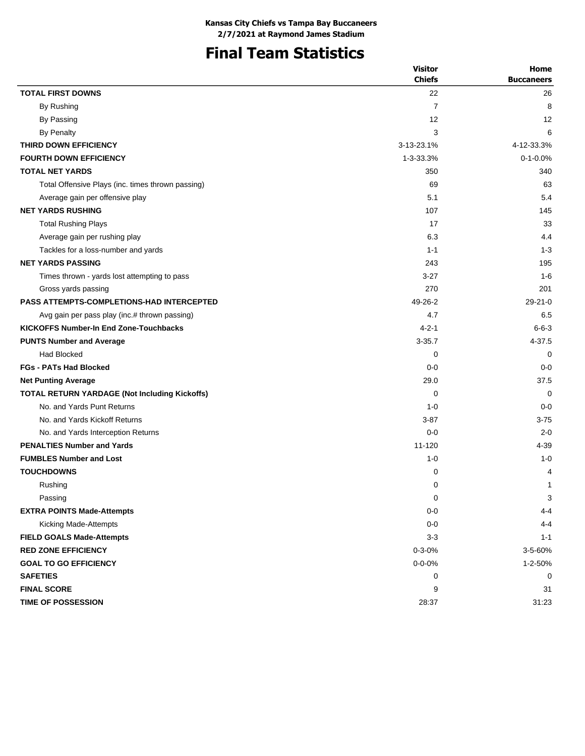# **Final Team Statistics**

| <b>Chiefs</b><br><b>Buccaneers</b><br><b>TOTAL FIRST DOWNS</b><br>22<br>26<br>By Rushing<br>7<br>8<br>12<br>12<br>By Passing<br><b>By Penalty</b><br>3<br>6<br>THIRD DOWN EFFICIENCY<br>3-13-23.1%<br>4-12-33.3%<br><b>FOURTH DOWN EFFICIENCY</b><br>$0 - 1 - 0.0%$<br>1-3-33.3%<br><b>TOTAL NET YARDS</b><br>350<br>340<br>Total Offensive Plays (inc. times thrown passing)<br>69<br>63<br>5.4<br>Average gain per offensive play<br>5.1<br><b>NET YARDS RUSHING</b><br>107<br>145<br>33<br>17<br><b>Total Rushing Plays</b><br>6.3<br>4.4<br>Average gain per rushing play<br>Tackles for a loss-number and yards<br>$1 - 1$<br>$1 - 3$<br><b>NET YARDS PASSING</b><br>243<br>195<br>$1 - 6$<br>Times thrown - yards lost attempting to pass<br>$3-27$<br>270<br>Gross yards passing<br>201<br><b>PASS ATTEMPTS-COMPLETIONS-HAD INTERCEPTED</b><br>49-26-2<br>$29 - 21 - 0$<br>4.7<br>6.5<br>Avg gain per pass play (inc.# thrown passing)<br>KICKOFFS Number-In End Zone-Touchbacks<br>$4 - 2 - 1$<br>$6 - 6 - 3$<br>$3 - 35.7$<br>4-37.5<br><b>PUNTS Number and Average</b><br><b>Had Blocked</b><br>0<br>$\Omega$<br><b>FGs - PATs Had Blocked</b><br>$0 - 0$<br>$0 - 0$<br>29.0<br>37.5<br><b>Net Punting Average</b><br><b>TOTAL RETURN YARDAGE (Not Including Kickoffs)</b><br>0<br>$\mathbf 0$<br>No. and Yards Punt Returns<br>$0 - 0$<br>$1 - 0$<br>No. and Yards Kickoff Returns<br>$3 - 87$<br>$3 - 75$<br>No. and Yards Interception Returns<br>$0 - 0$<br>$2 - 0$<br><b>PENALTIES Number and Yards</b><br>$11 - 120$<br>4-39<br><b>FUMBLES Number and Lost</b><br>$1 - 0$<br>$1 - 0$<br><b>TOUCHDOWNS</b><br>4<br>0<br>0<br>Rushing<br>1<br>Passing<br>0<br>3<br><b>EXTRA POINTS Made-Attempts</b><br>$0 - 0$<br>$4 - 4$ |                       | <b>Visitor</b> | Home    |
|------------------------------------------------------------------------------------------------------------------------------------------------------------------------------------------------------------------------------------------------------------------------------------------------------------------------------------------------------------------------------------------------------------------------------------------------------------------------------------------------------------------------------------------------------------------------------------------------------------------------------------------------------------------------------------------------------------------------------------------------------------------------------------------------------------------------------------------------------------------------------------------------------------------------------------------------------------------------------------------------------------------------------------------------------------------------------------------------------------------------------------------------------------------------------------------------------------------------------------------------------------------------------------------------------------------------------------------------------------------------------------------------------------------------------------------------------------------------------------------------------------------------------------------------------------------------------------------------------------------------------------------------------------------------------------------------------------------------------------------|-----------------------|----------------|---------|
|                                                                                                                                                                                                                                                                                                                                                                                                                                                                                                                                                                                                                                                                                                                                                                                                                                                                                                                                                                                                                                                                                                                                                                                                                                                                                                                                                                                                                                                                                                                                                                                                                                                                                                                                          |                       |                |         |
|                                                                                                                                                                                                                                                                                                                                                                                                                                                                                                                                                                                                                                                                                                                                                                                                                                                                                                                                                                                                                                                                                                                                                                                                                                                                                                                                                                                                                                                                                                                                                                                                                                                                                                                                          |                       |                |         |
|                                                                                                                                                                                                                                                                                                                                                                                                                                                                                                                                                                                                                                                                                                                                                                                                                                                                                                                                                                                                                                                                                                                                                                                                                                                                                                                                                                                                                                                                                                                                                                                                                                                                                                                                          |                       |                |         |
|                                                                                                                                                                                                                                                                                                                                                                                                                                                                                                                                                                                                                                                                                                                                                                                                                                                                                                                                                                                                                                                                                                                                                                                                                                                                                                                                                                                                                                                                                                                                                                                                                                                                                                                                          |                       |                |         |
|                                                                                                                                                                                                                                                                                                                                                                                                                                                                                                                                                                                                                                                                                                                                                                                                                                                                                                                                                                                                                                                                                                                                                                                                                                                                                                                                                                                                                                                                                                                                                                                                                                                                                                                                          |                       |                |         |
|                                                                                                                                                                                                                                                                                                                                                                                                                                                                                                                                                                                                                                                                                                                                                                                                                                                                                                                                                                                                                                                                                                                                                                                                                                                                                                                                                                                                                                                                                                                                                                                                                                                                                                                                          |                       |                |         |
|                                                                                                                                                                                                                                                                                                                                                                                                                                                                                                                                                                                                                                                                                                                                                                                                                                                                                                                                                                                                                                                                                                                                                                                                                                                                                                                                                                                                                                                                                                                                                                                                                                                                                                                                          |                       |                |         |
|                                                                                                                                                                                                                                                                                                                                                                                                                                                                                                                                                                                                                                                                                                                                                                                                                                                                                                                                                                                                                                                                                                                                                                                                                                                                                                                                                                                                                                                                                                                                                                                                                                                                                                                                          |                       |                |         |
|                                                                                                                                                                                                                                                                                                                                                                                                                                                                                                                                                                                                                                                                                                                                                                                                                                                                                                                                                                                                                                                                                                                                                                                                                                                                                                                                                                                                                                                                                                                                                                                                                                                                                                                                          |                       |                |         |
|                                                                                                                                                                                                                                                                                                                                                                                                                                                                                                                                                                                                                                                                                                                                                                                                                                                                                                                                                                                                                                                                                                                                                                                                                                                                                                                                                                                                                                                                                                                                                                                                                                                                                                                                          |                       |                |         |
|                                                                                                                                                                                                                                                                                                                                                                                                                                                                                                                                                                                                                                                                                                                                                                                                                                                                                                                                                                                                                                                                                                                                                                                                                                                                                                                                                                                                                                                                                                                                                                                                                                                                                                                                          |                       |                |         |
|                                                                                                                                                                                                                                                                                                                                                                                                                                                                                                                                                                                                                                                                                                                                                                                                                                                                                                                                                                                                                                                                                                                                                                                                                                                                                                                                                                                                                                                                                                                                                                                                                                                                                                                                          |                       |                |         |
|                                                                                                                                                                                                                                                                                                                                                                                                                                                                                                                                                                                                                                                                                                                                                                                                                                                                                                                                                                                                                                                                                                                                                                                                                                                                                                                                                                                                                                                                                                                                                                                                                                                                                                                                          |                       |                |         |
|                                                                                                                                                                                                                                                                                                                                                                                                                                                                                                                                                                                                                                                                                                                                                                                                                                                                                                                                                                                                                                                                                                                                                                                                                                                                                                                                                                                                                                                                                                                                                                                                                                                                                                                                          |                       |                |         |
|                                                                                                                                                                                                                                                                                                                                                                                                                                                                                                                                                                                                                                                                                                                                                                                                                                                                                                                                                                                                                                                                                                                                                                                                                                                                                                                                                                                                                                                                                                                                                                                                                                                                                                                                          |                       |                |         |
|                                                                                                                                                                                                                                                                                                                                                                                                                                                                                                                                                                                                                                                                                                                                                                                                                                                                                                                                                                                                                                                                                                                                                                                                                                                                                                                                                                                                                                                                                                                                                                                                                                                                                                                                          |                       |                |         |
|                                                                                                                                                                                                                                                                                                                                                                                                                                                                                                                                                                                                                                                                                                                                                                                                                                                                                                                                                                                                                                                                                                                                                                                                                                                                                                                                                                                                                                                                                                                                                                                                                                                                                                                                          |                       |                |         |
|                                                                                                                                                                                                                                                                                                                                                                                                                                                                                                                                                                                                                                                                                                                                                                                                                                                                                                                                                                                                                                                                                                                                                                                                                                                                                                                                                                                                                                                                                                                                                                                                                                                                                                                                          |                       |                |         |
|                                                                                                                                                                                                                                                                                                                                                                                                                                                                                                                                                                                                                                                                                                                                                                                                                                                                                                                                                                                                                                                                                                                                                                                                                                                                                                                                                                                                                                                                                                                                                                                                                                                                                                                                          |                       |                |         |
|                                                                                                                                                                                                                                                                                                                                                                                                                                                                                                                                                                                                                                                                                                                                                                                                                                                                                                                                                                                                                                                                                                                                                                                                                                                                                                                                                                                                                                                                                                                                                                                                                                                                                                                                          |                       |                |         |
|                                                                                                                                                                                                                                                                                                                                                                                                                                                                                                                                                                                                                                                                                                                                                                                                                                                                                                                                                                                                                                                                                                                                                                                                                                                                                                                                                                                                                                                                                                                                                                                                                                                                                                                                          |                       |                |         |
|                                                                                                                                                                                                                                                                                                                                                                                                                                                                                                                                                                                                                                                                                                                                                                                                                                                                                                                                                                                                                                                                                                                                                                                                                                                                                                                                                                                                                                                                                                                                                                                                                                                                                                                                          |                       |                |         |
|                                                                                                                                                                                                                                                                                                                                                                                                                                                                                                                                                                                                                                                                                                                                                                                                                                                                                                                                                                                                                                                                                                                                                                                                                                                                                                                                                                                                                                                                                                                                                                                                                                                                                                                                          |                       |                |         |
|                                                                                                                                                                                                                                                                                                                                                                                                                                                                                                                                                                                                                                                                                                                                                                                                                                                                                                                                                                                                                                                                                                                                                                                                                                                                                                                                                                                                                                                                                                                                                                                                                                                                                                                                          |                       |                |         |
|                                                                                                                                                                                                                                                                                                                                                                                                                                                                                                                                                                                                                                                                                                                                                                                                                                                                                                                                                                                                                                                                                                                                                                                                                                                                                                                                                                                                                                                                                                                                                                                                                                                                                                                                          |                       |                |         |
|                                                                                                                                                                                                                                                                                                                                                                                                                                                                                                                                                                                                                                                                                                                                                                                                                                                                                                                                                                                                                                                                                                                                                                                                                                                                                                                                                                                                                                                                                                                                                                                                                                                                                                                                          |                       |                |         |
|                                                                                                                                                                                                                                                                                                                                                                                                                                                                                                                                                                                                                                                                                                                                                                                                                                                                                                                                                                                                                                                                                                                                                                                                                                                                                                                                                                                                                                                                                                                                                                                                                                                                                                                                          |                       |                |         |
|                                                                                                                                                                                                                                                                                                                                                                                                                                                                                                                                                                                                                                                                                                                                                                                                                                                                                                                                                                                                                                                                                                                                                                                                                                                                                                                                                                                                                                                                                                                                                                                                                                                                                                                                          |                       |                |         |
|                                                                                                                                                                                                                                                                                                                                                                                                                                                                                                                                                                                                                                                                                                                                                                                                                                                                                                                                                                                                                                                                                                                                                                                                                                                                                                                                                                                                                                                                                                                                                                                                                                                                                                                                          |                       |                |         |
|                                                                                                                                                                                                                                                                                                                                                                                                                                                                                                                                                                                                                                                                                                                                                                                                                                                                                                                                                                                                                                                                                                                                                                                                                                                                                                                                                                                                                                                                                                                                                                                                                                                                                                                                          |                       |                |         |
|                                                                                                                                                                                                                                                                                                                                                                                                                                                                                                                                                                                                                                                                                                                                                                                                                                                                                                                                                                                                                                                                                                                                                                                                                                                                                                                                                                                                                                                                                                                                                                                                                                                                                                                                          |                       |                |         |
|                                                                                                                                                                                                                                                                                                                                                                                                                                                                                                                                                                                                                                                                                                                                                                                                                                                                                                                                                                                                                                                                                                                                                                                                                                                                                                                                                                                                                                                                                                                                                                                                                                                                                                                                          |                       |                |         |
|                                                                                                                                                                                                                                                                                                                                                                                                                                                                                                                                                                                                                                                                                                                                                                                                                                                                                                                                                                                                                                                                                                                                                                                                                                                                                                                                                                                                                                                                                                                                                                                                                                                                                                                                          |                       |                |         |
|                                                                                                                                                                                                                                                                                                                                                                                                                                                                                                                                                                                                                                                                                                                                                                                                                                                                                                                                                                                                                                                                                                                                                                                                                                                                                                                                                                                                                                                                                                                                                                                                                                                                                                                                          |                       |                |         |
|                                                                                                                                                                                                                                                                                                                                                                                                                                                                                                                                                                                                                                                                                                                                                                                                                                                                                                                                                                                                                                                                                                                                                                                                                                                                                                                                                                                                                                                                                                                                                                                                                                                                                                                                          | Kicking Made-Attempts | $0-0$          | $4 - 4$ |
| <b>FIELD GOALS Made-Attempts</b><br>$3 - 3$<br>$1 - 1$                                                                                                                                                                                                                                                                                                                                                                                                                                                                                                                                                                                                                                                                                                                                                                                                                                                                                                                                                                                                                                                                                                                                                                                                                                                                                                                                                                                                                                                                                                                                                                                                                                                                                   |                       |                |         |
| <b>RED ZONE EFFICIENCY</b><br>$0 - 3 - 0%$<br>3-5-60%                                                                                                                                                                                                                                                                                                                                                                                                                                                                                                                                                                                                                                                                                                                                                                                                                                                                                                                                                                                                                                                                                                                                                                                                                                                                                                                                                                                                                                                                                                                                                                                                                                                                                    |                       |                |         |
| <b>GOAL TO GO EFFICIENCY</b><br>$0 - 0 - 0%$<br>1-2-50%                                                                                                                                                                                                                                                                                                                                                                                                                                                                                                                                                                                                                                                                                                                                                                                                                                                                                                                                                                                                                                                                                                                                                                                                                                                                                                                                                                                                                                                                                                                                                                                                                                                                                  |                       |                |         |
| <b>SAFETIES</b><br>0<br>0                                                                                                                                                                                                                                                                                                                                                                                                                                                                                                                                                                                                                                                                                                                                                                                                                                                                                                                                                                                                                                                                                                                                                                                                                                                                                                                                                                                                                                                                                                                                                                                                                                                                                                                |                       |                |         |
| <b>FINAL SCORE</b><br>9<br>31                                                                                                                                                                                                                                                                                                                                                                                                                                                                                                                                                                                                                                                                                                                                                                                                                                                                                                                                                                                                                                                                                                                                                                                                                                                                                                                                                                                                                                                                                                                                                                                                                                                                                                            |                       |                |         |
| TIME OF POSSESSION<br>28:37<br>31:23                                                                                                                                                                                                                                                                                                                                                                                                                                                                                                                                                                                                                                                                                                                                                                                                                                                                                                                                                                                                                                                                                                                                                                                                                                                                                                                                                                                                                                                                                                                                                                                                                                                                                                     |                       |                |         |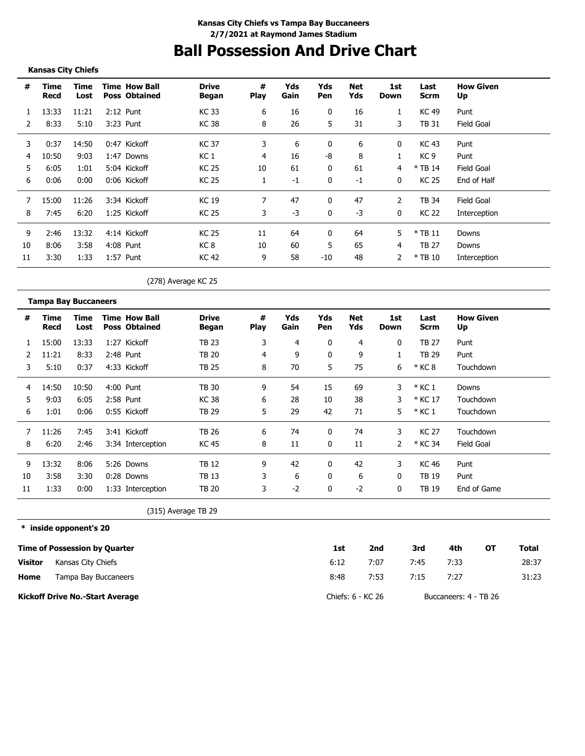# **Ball Possession And Drive Chart**

### **Kansas City Chiefs**

| #  | Time<br>Recd | Time<br>Lost | <b>Time How Ball</b><br><b>Poss Obtained</b> | <b>Drive</b><br>Began | #<br><b>Play</b> | Yds<br>Gain | Yds<br>Pen   | Net<br>Yds | 1st<br>Down | Last<br>Scrm | <b>How Given</b><br>Up |
|----|--------------|--------------|----------------------------------------------|-----------------------|------------------|-------------|--------------|------------|-------------|--------------|------------------------|
|    | 13:33        | 11:21        | $2:12$ Punt                                  | <b>KC33</b>           | 6                | 16          | 0            | 16         | 1           | KC 49        | Punt                   |
|    | 8:33         | 5:10         | 3:23 Punt                                    | KC 38                 | 8                | 26          | 5            | 31         | 3           | TB 31        | Field Goal             |
| 3  | 0:37         | 14:50        | 0:47 Kickoff                                 | <b>KC37</b>           | 3                | 6           | 0            | 6          | 0           | KC 43        | Punt                   |
| 4  | 10:50        | 9:03         | 1:47 Downs                                   | KC 1                  | 4                | 16          | -8           | 8          |             | KC 9         | Punt                   |
| 5  | 6:05         | 1:01         | 5:04 Kickoff                                 | KC 25                 | 10               | 61          | 0            | 61         | 4           | $*$ TB 14    | Field Goal             |
| 6  | 0:06         | 0:00         | 0:06 Kickoff                                 | <b>KC 25</b>          |                  | $-1$        | $\mathbf{0}$ | $-1$       | 0           | <b>KC 25</b> | End of Half            |
|    | 15:00        | 11:26        | 3:34 Kickoff                                 | <b>KC19</b>           |                  | 47          | $\Omega$     | 47         |             | TB 34        | Field Goal             |
| 8  | 7:45         | 6:20         | 1:25 Kickoff                                 | KC 25                 | 3                | $-3$        |              | $-3$       | 0           | KC 22        | Interception           |
| 9  | 2:46         | 13:32        | 4:14 Kickoff                                 | <b>KC 25</b>          | 11               | 64          | 0            | 64         | 5           | $*$ TB 11    | Downs                  |
| 10 | 8:06         | 3:58         | 4:08 Punt                                    | KC 8                  | 10               | 60          | 5            | 65         | 4           | <b>TB 27</b> | Downs                  |
| 11 | 3:30         | 1:33         | 1:57 Punt                                    | KC 42                 | 9                | 58          | $-10$        | 48         |             | $*$ TB 10    | Interception           |

(278) Average KC 25

|               | <b>Tampa Bay Buccaneers</b> |              |                                              |                       |                  |             |              |            |             |                     |                        |
|---------------|-----------------------------|--------------|----------------------------------------------|-----------------------|------------------|-------------|--------------|------------|-------------|---------------------|------------------------|
| #             | Time<br>Recd                | Time<br>Lost | <b>Time How Ball</b><br><b>Poss Obtained</b> | <b>Drive</b><br>Began | #<br><b>Play</b> | Yds<br>Gain | Yds<br>Pen   | Net<br>Yds | 1st<br>Down | Last<br><b>Scrm</b> | <b>How Given</b><br>Up |
|               | 15:00                       | 13:33        | 1:27 Kickoff                                 | TB 23                 | 3                | 4           | 0            | 4          | 0           | TB 27               | Punt                   |
| $\mathcal{P}$ | 11:21                       | 8:33         | $2:48$ Punt                                  | TB 20                 | 4                | 9           | 0            | 9          | 1           | <b>TB 29</b>        | Punt                   |
| 3             | 5:10                        | 0:37         | 4:33 Kickoff                                 | TB 25                 | 8                | 70          | 5            | 75         | 6           | * KC 8              | Touchdown              |
| 4             | 14:50                       | 10:50        | 4:00 Punt                                    | <b>TB 30</b>          | 9                | 54          | 15           | 69         | 3           | $*$ KC 1            | Downs                  |
| 5             | 9:03                        | 6:05         | 2:58 Punt                                    | KC 38                 | 6                | 28          | 10           | 38         | 3           | * KC 17             | Touchdown              |
| 6             | 1:01                        | 0:06         | 0:55 Kickoff                                 | TB 29                 | 5                | 29          | 42           | 71         | 5           | $*$ KC 1            | Touchdown              |
| 7             | 11:26                       | 7:45         | 3:41 Kickoff                                 | <b>TB 26</b>          | 6                | 74          | $\mathbf{0}$ | 74         | 3           | <b>KC 27</b>        | Touchdown              |
| 8             | 6:20                        | 2:46         | 3:34 Interception                            | <b>KC 45</b>          | 8                | 11          | 0            | 11         | 2           | * KC 34             | <b>Field Goal</b>      |
| 9             | 13:32                       | 8:06         | 5:26 Downs                                   | TB 12                 | 9                | 42          | 0            | 42         | 3           | KC 46               | Punt                   |
| 10            | 3:58                        | 3:30         | 0:28 Downs                                   | TB 13                 | 3                | 6           | 0            | 6          | 0           | <b>TB 19</b>        | Punt                   |
| 11            | 1:33                        | 0:00         | 1:33 Interception                            | TB 20                 | 3                | $-2$        | 0            | $-2$       | 0           | TB 19               | End of Game            |

(315) Average TB 29

**\* inside opponent's 20**

|                | Time of Possession by Quarter          | 1st               | 2nd  | 3rd  | 4th                   | ΟТ | Total |
|----------------|----------------------------------------|-------------------|------|------|-----------------------|----|-------|
| <b>Visitor</b> | Kansas City Chiefs                     | 6:12              | 7:07 | 7:45 | 7:33                  |    | 28:37 |
| Home           | Tampa Bay Buccaneers                   | 8:48              | 7:53 | 7:15 | 7:27                  |    | 31:23 |
|                | <b>Kickoff Drive No.-Start Average</b> | Chiefs: 6 - KC 26 |      |      | Buccaneers: 4 - TB 26 |    |       |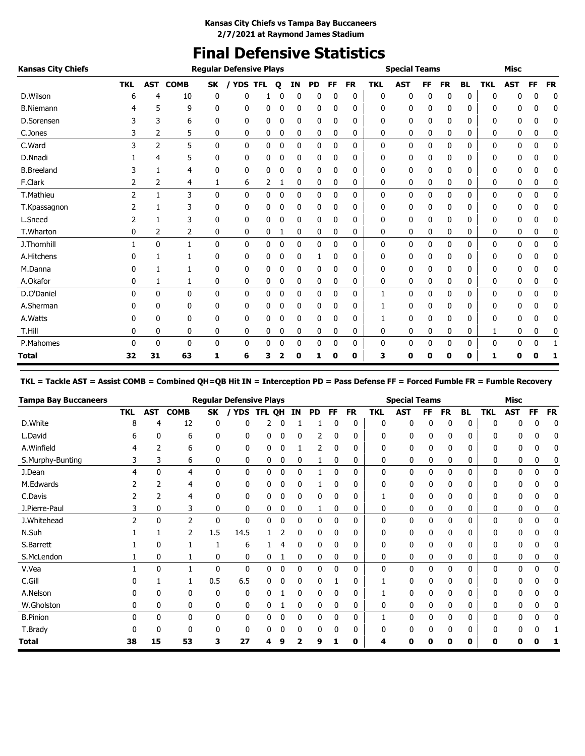# **Final Defensive Statistics**

| <b>Kansas City Chiefs</b> |                |                |              |              | <b>Regular Defensive Plays</b> |            |              |              |           |    |           |            | <b>Special Teams</b> |    |           |              |            | <b>Misc</b>  |    |           |
|---------------------------|----------------|----------------|--------------|--------------|--------------------------------|------------|--------------|--------------|-----------|----|-----------|------------|----------------------|----|-----------|--------------|------------|--------------|----|-----------|
|                           | <b>TKL</b>     | <b>AST</b>     | <b>COMB</b>  | <b>SK</b>    | / YDS                          | <b>TFL</b> | $\mathbf{o}$ | IN           | <b>PD</b> | FF | <b>FR</b> | <b>TKL</b> | <b>AST</b>           | FF | <b>FR</b> | <b>BL</b>    | <b>TKL</b> | <b>AST</b>   | FF | <b>FR</b> |
| D.Wilson                  | 6              | 4              | 10           | 0            | 0                              |            | 0            | 0            | 0         | 0  | 0         | 0          | 0                    | 0  | 0         | 0            | 0          | 0            | 0  | 0         |
| <b>B.Niemann</b>          |                | 5              | 9            | 0            | 0                              | 0          | 0            | 0            | 0         | 0  | 0         | 0          | 0                    | 0  | 0         | 0            | 0          | 0            | 0  | 0         |
| D.Sorensen                |                | 3              | 6            | 0            | 0                              | 0          | 0            | 0            | 0         | 0  | 0         | 0          | 0                    | 0  | 0         | 0            | 0          | 0            | 0  | 0         |
| C.Jones                   |                | 2              | 5            | 0            | 0                              | 0          | 0            | 0            | 0         | 0  | 0         | 0          | 0                    | 0  | 0         | 0            | 0          | 0            | 0  | 0         |
| C.Ward                    | 3              | $\overline{2}$ | 5            | $\mathbf{0}$ | $\mathbf{0}$                   | 0          | 0            | $\mathbf{0}$ | 0         | 0  | 0         | 0          | 0                    | 0  | 0         | 0            | 0          | 0            | 0  | 0         |
| D.Nnadi                   |                | 4              | 5            | 0            | 0                              | 0          | 0            | 0            | 0         | 0  | 0         | 0          | 0                    | 0  | 0         | 0            | 0          | 0            | 0  | 0         |
| <b>B.Breeland</b>         | 3              | 1              | 4            | 0            | 0                              | 0          | 0            | $\mathbf 0$  | 0         | 0  | 0         | 0          | 0                    | 0  | 0         | 0            | 0          | 0            | 0  | 0         |
| F.Clark                   |                | 2              | 4            | 1            | 6                              | 2          | 1            | 0            | 0         | 0  | 0         | 0          | 0                    | 0  | 0         | 0            | 0          | 0            | 0  | 0         |
| T.Mathieu                 | $\overline{2}$ | $\mathbf{1}$   | 3            | $\mathbf{0}$ | 0                              | 0          | 0            | $\mathbf 0$  | 0         | 0  | 0         | 0          | 0                    | 0  | 0         | 0            | 0          | 0            | 0  | 0         |
| T.Kpassagnon              |                |                | 3            | 0            | 0                              | 0          | 0            | 0            | 0         | 0  | 0         | 0          | 0                    | 0  | 0         | 0            | 0          | 0            | 0  | 0         |
| L.Sneed                   | 2              | 1              | 3            | 0            | 0                              | 0          | 0            | $\mathbf 0$  | 0         | 0  | 0         | 0          | 0                    | 0  | 0         | 0            | 0          | 0            | 0  | 0         |
| T.Wharton                 | 0              | 2              | 2            | 0            | 0                              | 0          |              | 0            | 0         | 0  | 0         | 0          | 0                    | 0  | 0         | 0            | 0          | 0            | 0  | 0         |
| J.Thornhill               |                | 0              | 1            | 0            | 0                              | 0          | 0            | $\mathbf 0$  | 0         | 0  | 0         | 0          | 0                    | 0  | 0         | 0            | 0          | 0            | 0  | 0         |
| A.Hitchens                |                |                |              | 0            | 0                              | 0          | 0            | 0            |           | 0  | 0         | 0          | 0                    | 0  | 0         | 0            | 0          | 0            | 0  | 0         |
| M.Danna                   |                |                |              | 0            | $\mathbf{0}$                   | 0          | 0            | $\mathbf 0$  | 0         | 0  | 0         | 0          | 0                    | 0  | 0         | 0            | 0          | 0            | 0  | 0         |
| A.Okafor                  | 0              | 1              | 1            | 0            | 0                              | 0          | 0            | 0            | 0         | 0  | 0         | 0          | 0                    | 0  | 0         | 0            | 0          | 0            | 0  | 0         |
| D.O'Daniel                | 0              | 0              | $\mathbf{0}$ | 0            | 0                              | 0          | 0            | $\mathbf 0$  | 0         | 0  | 0         | 1          | 0                    | 0  | 0         | 0            | 0          | 0            | 0  | 0         |
| A.Sherman                 |                | 0              | 0            | 0            | 0                              | 0          | 0            | 0            | 0         | 0  | 0         |            | 0                    | 0  | 0         | 0            | 0          | 0            | 0  | 0         |
| A.Watts                   |                | 0              | 0            | 0            | 0                              | 0          | 0            | 0            | 0         | 0  | 0         |            | 0                    | 0  | 0         | 0            | 0          | 0            | 0  | 0         |
| T.Hill                    | 0              | 0              | 0            | 0            | 0                              | 0          | 0            | 0            | 0         | 0  | 0         | 0          | 0                    | 0  | 0         | 0            | 1          | 0            | 0  | 0         |
| P.Mahomes                 | 0              | 0              | $\mathbf{0}$ | 0            | 0                              | 0          | 0            | $\mathbf{0}$ | 0         | 0  | 0         | 0          | 0                    | 0  | 0         | $\mathbf{0}$ | 0          | $\mathbf{0}$ | 0  |           |
| Total                     | 32             | 31             | 63           | 1            | 6                              | з          | 2            | 0            | 1         | 0  | 0         | 3          | 0                    | 0  | 0         | 0            | 1          | 0            | 0  |           |

**TKL = Tackle AST = Assist COMB = Combined QH=QB Hit IN = Interception PD = Pass Defense FF = Forced Fumble FR = Fumble Recovery**

| <b>Tampa Bay Buccaneers</b> |            |              |                |     | <b>Regular Defensive Plays</b> |        |   |           |           |              |           |            | <b>Special Teams</b> |           |           |           |              | Misc       |    |           |
|-----------------------------|------------|--------------|----------------|-----|--------------------------------|--------|---|-----------|-----------|--------------|-----------|------------|----------------------|-----------|-----------|-----------|--------------|------------|----|-----------|
|                             | <b>TKL</b> | <b>AST</b>   | <b>COMB</b>    | SK  | <b>YDS</b>                     | TFL QH |   | <b>IN</b> | <b>PD</b> | <b>FF</b>    | <b>FR</b> | <b>TKL</b> | <b>AST</b>           | <b>FF</b> | <b>FR</b> | <b>BL</b> | <b>TKL</b>   | <b>AST</b> | FF | <b>FR</b> |
| D.White                     | 8          | 4            | 12             | 0   | 0                              | 2      | 0 |           |           |              | 0         | 0          | 0                    | $\Omega$  | 0         | 0         | $\Omega$     | 0          | 0  | 0         |
| L.David                     | ь          | 0            | 6              | 0   | 0                              | 0      |   | 0         | 2         | 0            | 0         | 0          | 0                    |           | 0         | 0         | 0            | 0          |    | O         |
| A.Winfield                  |            |              | 6              | 0   | 0                              | 0      |   |           | 2         | 0            | 0         | 0          | 0                    |           | 0         | 0         | 0            | 0          | 0  | 0         |
| S.Murphy-Bunting            | 3          | 3            | 6              | 0   | 0                              | 0      |   | 0         |           |              | 0         | 0          | 0                    | 0         | 0         | 0         | 0            | 0          | 0  | C         |
| J.Dean                      | 4          | $\mathbf{0}$ | 4              | 0   | 0                              | 0      | 0 | 0         |           | 0            | 0         | 0          | 0                    | 0         | 0         | 0         | 0            | 0          | 0  | 0         |
| M.Edwards                   | 2          | 2            | 4              | 0   | 0                              | 0      |   | 0         |           | 0            | 0         | 0          | 0                    | 0         | 0         | 0         | 0            | 0          | 0  | 0         |
| C.Davis                     |            |              | 4              | 0   | $\mathbf{0}$                   | 0      | 0 | 0         | 0         | 0            | 0         |            | 0                    | 0         | 0         | 0         | 0            | 0          | 0  | 0         |
| J.Pierre-Paul               |            | 0            | 3              | 0   | 0                              | 0      | 0 | 0         | 1         | 0            | 0         | 0          | 0                    | 0         | 0         | 0         | 0            | 0          | 0  |           |
| J.Whitehead                 | 2          | $\mathbf{0}$ | $\overline{2}$ | 0   | 0                              | 0      | 0 | 0         | 0         | $\Omega$     | 0         | 0          | 0                    | 0         | 0         | 0         | 0            | 0          | 0  | 0         |
| N.Suh                       |            |              | $\overline{2}$ | 1.5 | 14.5                           |        |   | 0         | 0         | $\Omega$     | 0         | 0          | 0                    | C         | 0         | 0         | 0            | 0          | 0  | 0         |
| S.Barrett                   |            | 0            |                |     | 6                              |        |   | 0         | 0         | $\Omega$     | 0         | 0          | 0                    | O         | 0         | 0         | 0            | 0          | 0  |           |
| S.McLendon                  |            | 0            |                | 0   | 0                              | 0      |   | 0         | 0         | 0            | 0         | 0          | 0                    | 0         | 0         | 0         | 0            | 0          | 0  | 0         |
| V.Vea                       |            | $\mathbf{0}$ |                | 0   | $\mathbf{0}$                   | 0      |   | 0         | 0         |              | 0         | 0          | 0                    | 0         | 0         | 0         | 0            | 0          | 0  | 0         |
| C.Gill                      |            |              |                | 0.5 | 6.5                            | 0      |   | 0         | 0         |              | 0         |            | 0                    |           | 0         | 0         | 0            | 0          | п  | 0         |
| A.Nelson                    |            | 0            | 0              | 0   | 0                              | 0      |   | 0         | 0         | 0            | 0         |            | 0                    | 0         | 0         | 0         | 0            | 0          | 0  | 0         |
| W.Gholston                  | 0          | 0            | 0              | 0   | 0                              | 0      |   | 0         | 0         | 0            | 0         | 0          | 0                    | 0         | 0         | 0         | 0            | 0          | 0  | 0         |
| <b>B.Pinion</b>             | 0          | 0            | 0              | 0   | 0                              | 0      | 0 | 0         | 0         | $\mathbf{0}$ | 0         |            | 0                    | 0         | 0         | 0         | 0            | 0          | 0  | 0         |
| T.Brady                     |            |              | ŋ              | ŋ   | 0                              | 0      |   |           | 0         |              | 0         |            | 0                    |           | 0         | 0         | <sup>0</sup> | 0          |    |           |
| <b>Total</b>                | 38         | 15           | 53             | 3   | 27                             | 4      |   |           | 9         |              | 0         |            | 0                    |           | O         | 0         | 0            | n          |    |           |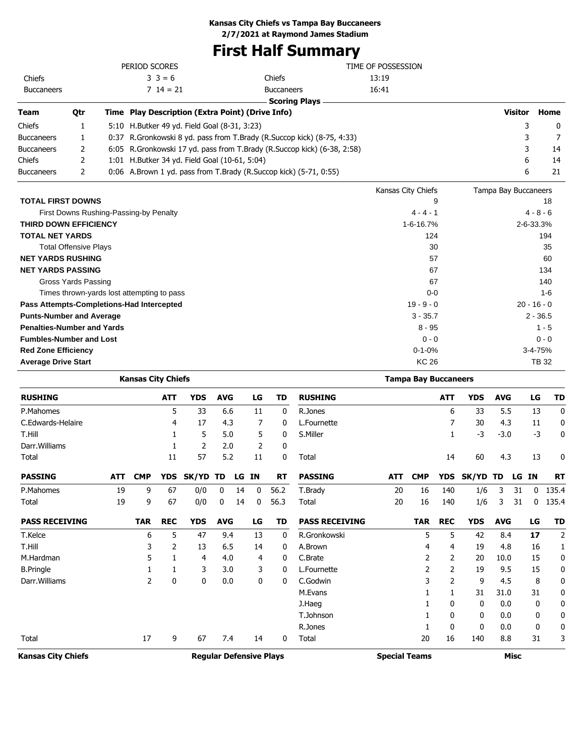**Kansas City Chiefs vs Tampa Bay Buccaneers**

**2/7/2021 at Raymond James Stadium**

# **First Half Summary**

|                                   |                              | PERIOD SCORES                                    |                                                                           | TIME OF POSSESSION |                      |               |
|-----------------------------------|------------------------------|--------------------------------------------------|---------------------------------------------------------------------------|--------------------|----------------------|---------------|
| Chiefs                            |                              | $3 \ 3 = 6$                                      | Chiefs                                                                    | 13:19              |                      |               |
| <b>Buccaneers</b>                 |                              | $714 = 21$                                       | <b>Buccaneers</b>                                                         | 16:41              |                      |               |
|                                   |                              |                                                  | <b>Scoring Plays</b>                                                      |                    |                      |               |
| <b>Team</b>                       | Qtr                          | Time Play Description (Extra Point) (Drive Info) |                                                                           |                    | <b>Visitor</b>       | Home          |
| Chiefs                            | 1                            | 5:10 H.Butker 49 yd. Field Goal (8-31, 3:23)     |                                                                           |                    | 3                    | 0             |
| <b>Buccaneers</b>                 | 1                            |                                                  | 0:37 R. Gronkowski 8 yd. pass from T. Brady (R. Succop kick) (8-75, 4:33) |                    | 3                    |               |
| <b>Buccaneers</b>                 | 2                            |                                                  | 6:05 R.Gronkowski 17 yd. pass from T.Brady (R.Succop kick) (6-38, 2:58)   |                    | 3                    | 14            |
| Chiefs                            | 2                            | 1:01 H.Butker 34 yd. Field Goal (10-61, 5:04)    |                                                                           |                    | 6                    | 14            |
| <b>Buccaneers</b>                 | 2                            |                                                  | 0:06 A.Brown 1 yd. pass from T.Brady (R.Succop kick) (5-71, 0:55)         |                    | 6                    | 21            |
|                                   |                              |                                                  |                                                                           | Kansas City Chiefs | Tampa Bay Buccaneers |               |
| <b>TOTAL FIRST DOWNS</b>          |                              |                                                  |                                                                           | 9                  |                      | 18            |
|                                   |                              | First Downs Rushing-Passing-by Penalty           |                                                                           | $4 - 4 - 1$        |                      | $4 - 8 - 6$   |
| <b>THIRD DOWN EFFICIENCY</b>      |                              |                                                  |                                                                           | 1-6-16.7%          |                      | 2-6-33.3%     |
| <b>TOTAL NET YARDS</b>            |                              |                                                  |                                                                           | 124                |                      | 194           |
|                                   | <b>Total Offensive Plays</b> |                                                  |                                                                           | 30                 |                      | 35            |
| <b>NET YARDS RUSHING</b>          |                              |                                                  |                                                                           | 57                 |                      | 60            |
| <b>NET YARDS PASSING</b>          |                              |                                                  |                                                                           | 67                 |                      | 134           |
|                                   | Gross Yards Passing          |                                                  |                                                                           | 67                 |                      | 140           |
|                                   |                              | Times thrown-yards lost attempting to pass       |                                                                           | $0 - 0$            |                      | $1 - 6$       |
|                                   |                              | Pass Attempts-Completions-Had Intercepted        |                                                                           | $19 - 9 - 0$       |                      | $20 - 16 - 0$ |
| <b>Punts-Number and Average</b>   |                              |                                                  |                                                                           | $3 - 35.7$         |                      | $2 - 36.5$    |
| <b>Penalties-Number and Yards</b> |                              |                                                  |                                                                           | $8 - 95$           |                      | $1 - 5$       |
| <b>Fumbles-Number and Lost</b>    |                              |                                                  |                                                                           | $0 - 0$            |                      | $0 - 0$       |
| <b>Red Zone Efficiency</b>        |                              |                                                  |                                                                           | $0 - 1 - 0%$       |                      | 3-4-75%       |
| <b>Average Drive Start</b>        |                              |                                                  |                                                                           | <b>KC 26</b>       |                      | <b>TB32</b>   |

|                           |            | <b>Kansas City Chiefs</b> |            |                                |            |    |           |              |                       |                      | <b>Tampa Bay Buccaneers</b> |            |            |            |             |           |                |
|---------------------------|------------|---------------------------|------------|--------------------------------|------------|----|-----------|--------------|-----------------------|----------------------|-----------------------------|------------|------------|------------|-------------|-----------|----------------|
| <b>RUSHING</b>            |            |                           | <b>ATT</b> | <b>YDS</b>                     | <b>AVG</b> |    | LG        | TD           | <b>RUSHING</b>        |                      |                             | <b>ATT</b> | <b>YDS</b> | <b>AVG</b> |             | LG        | TD             |
| P.Mahomes                 |            |                           | 5          | 33                             | 6.6        |    | 11        | 0            | R.Jones               |                      |                             | 6          | 33         | 5.5        |             | 13        | 0              |
| C.Edwards-Helaire         |            |                           | 4          | 17                             | 4.3        |    | 7         | 0            | L.Fournette           |                      |                             |            | 30         | 4.3        |             | 11        | 0              |
| T.Hill                    |            |                           |            | 5                              | 5.0        |    | 5         | 0            | S.Miller              |                      |                             |            | -3         | $-3.0$     |             | $-3$      | 0              |
| Darr. Williams            |            |                           |            | 2                              | 2.0        |    | 2         | 0            |                       |                      |                             |            |            |            |             |           |                |
| Total                     |            |                           | 11         | 57                             | 5.2        |    | 11        | 0            | Total                 |                      |                             | 14         | 60         | 4.3        |             | 13        | 0              |
| <b>PASSING</b>            | <b>ATT</b> | <b>CMP</b>                | <b>YDS</b> | SK/YD                          | <b>TD</b>  | LG | <b>IN</b> | <b>RT</b>    | <b>PASSING</b>        | <b>ATT</b>           | <b>CMP</b>                  | <b>YDS</b> | SK/YD      | TD         | LG          | <b>IN</b> | <b>RT</b>      |
| P.Mahomes                 | 19         | 9                         | 67         | 0/0                            | 0          | 14 | 0         | 56.2         | T.Brady               | 20                   | 16                          | 140        | 1/6        | 3          | 31          | 0         | 135.4          |
| Total                     | 19         | 9                         | 67         | 0/0                            | 0          | 14 | 0         | 56.3         | Total                 | 20                   | 16                          | 140        | 1/6        | 3          | 31          | 0         | 135.4          |
| <b>PASS RECEIVING</b>     |            | <b>TAR</b>                | <b>REC</b> | <b>YDS</b>                     | <b>AVG</b> |    | LG        | TD           | <b>PASS RECEIVING</b> |                      | <b>TAR</b>                  | <b>REC</b> | <b>YDS</b> | <b>AVG</b> |             | LG        | TD             |
| T.Kelce                   |            | 6                         | 5          | 47                             | 9.4        |    | 13        | 0            | R.Gronkowski          |                      | 5                           | 5          | 42         | 8.4        |             | 17        | $\overline{2}$ |
| T.Hill                    |            | 3                         | 2          | 13                             | 6.5        |    | 14        | 0            | A.Brown               |                      | 4                           | 4          | 19         | 4.8        |             | 16        | 1              |
| M.Hardman                 |            | 5                         | 1          | 4                              | 4.0        |    | 4         | 0            | C.Brate               |                      | 2                           | 2          | 20         | 10.0       |             | 15        | 0              |
| <b>B.Pringle</b>          |            |                           | 1          | 3                              | 3.0        |    | 3         | $\mathbf{0}$ | L.Fournette           |                      | 2                           | 2          | 19         | 9.5        |             | 15        | 0              |
| Darr. Williams            |            | 2                         | 0          | 0                              | 0.0        |    | 0         | 0            | C.Godwin              |                      | 3                           | 2          | 9          | 4.5        |             | 8         | 0              |
|                           |            |                           |            |                                |            |    |           |              | M.Evans               |                      |                             | 1          | 31         | 31.0       |             | 31        | 0              |
|                           |            |                           |            |                                |            |    |           |              | J.Haeg                |                      |                             | 0          | 0          | 0.0        |             | 0         | 0              |
|                           |            |                           |            |                                |            |    |           |              | T.Johnson             |                      |                             | 0          | 0          | 0.0        |             | 0         | 0              |
|                           |            |                           |            |                                |            |    |           |              | R.Jones               |                      |                             | 0          | 0          | 0.0        |             | 0         | 0              |
| Total                     |            | 17                        | 9          | 67                             | 7.4        |    | 14        | 0            | Total                 |                      | 20                          | 16         | 140        | 8.8        |             | 31        | 3              |
| <b>Kansas City Chiefs</b> |            |                           |            | <b>Regular Defensive Plays</b> |            |    |           |              |                       | <b>Special Teams</b> |                             |            |            |            | <b>Misc</b> |           |                |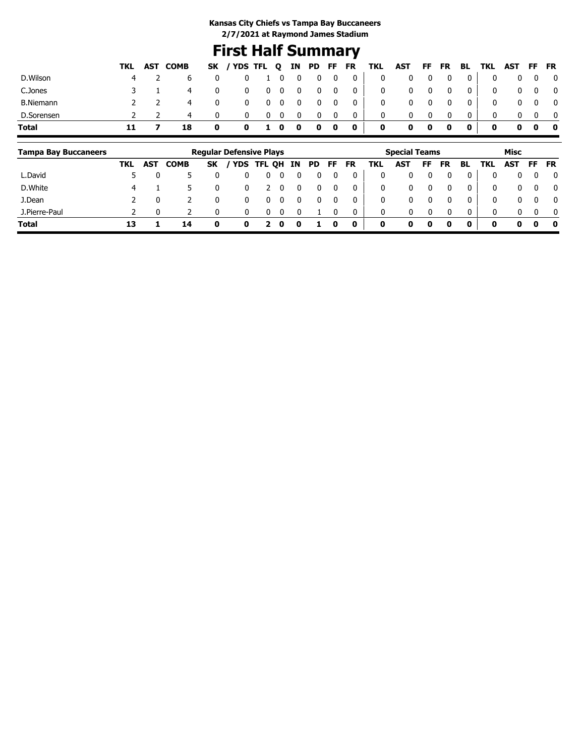## **First Half Summary**

|    |                | 0                   |  |                                                  |              |                   |                                                       |                                                         |                           |                                                                                                                   |                          | $\overline{\mathbf{0}}$ |                            |             |                                                                    |                       |                                                                                                                                             |
|----|----------------|---------------------|--|--------------------------------------------------|--------------|-------------------|-------------------------------------------------------|---------------------------------------------------------|---------------------------|-------------------------------------------------------------------------------------------------------------------|--------------------------|-------------------------|----------------------------|-------------|--------------------------------------------------------------------|-----------------------|---------------------------------------------------------------------------------------------------------------------------------------------|
|    | 4              | 0                   |  |                                                  |              |                   |                                                       |                                                         | $\mathbf{0}$              |                                                                                                                   |                          | $\overline{\mathbf{0}}$ |                            |             |                                                                    |                       |                                                                                                                                             |
|    | $\overline{4}$ | $\mathbf 0$         |  |                                                  |              |                   | $\overline{\mathbf{0}}$                               |                                                         | $\mathbf 0$               |                                                                                                                   | $\overline{\phantom{0}}$ | $\overline{\mathbf{0}}$ |                            |             |                                                                    |                       | $\overline{\mathbf{0}}$                                                                                                                     |
|    | 4              | $\mathbf{0}$        |  |                                                  | 0            |                   | 0                                                     |                                                         | $\mathbf 0$               |                                                                                                                   |                          | 0                       |                            | 0           |                                                                    |                       |                                                                                                                                             |
| 11 | 18             | $\mathbf 0$         |  |                                                  |              |                   |                                                       |                                                         | $\mathbf 0$               | $\mathbf 0$                                                                                                       | $\bullet$                | $\mathbf{0}$            |                            | $\mathbf 0$ |                                                                    |                       |                                                                                                                                             |
|    |                | TKL AST COMB<br>4 2 |  | $\mathbf 0$<br>$\mathbf{0}$<br>$\mathbf{0}$<br>0 | $\mathbf{0}$ | $0\quad 0$<br>- 0 | 1 0 0<br>$0\quad 0\quad 0$<br>$\overline{\mathbf{0}}$ | $\overline{\mathbf{0}}$<br>$\overline{\mathbf{0}}$<br>0 | $0\quad 0$<br>0 1 0 0 0 0 | $0\qquad 0\qquad$<br>$\begin{array}{c c} 0 \end{array}$<br>$\overline{\mathbf{0}}$<br>$\overline{0}$<br>$\bullet$ | $\overline{\mathbf{0}}$  | $\mathbf{0}$            | $0\qquad 0$<br>$0\qquad 0$ |             | 0 <sup>1</sup><br>0 <sup>1</sup><br>0 <sup>1</sup><br>$\mathbf{0}$ | $\mathbf 0$<br>0<br>0 | SK / YDS TFL Q IN PD FF FR TKL AST FF FR BL TKL AST FF FR<br>$0\quad 0\quad 0$<br>$0\quad 0\quad 0$<br>$0\quad 0$<br>$0\quad 0\quad 0\quad$ |

| <b>Tampa Bay Buccaneers</b> |     |            |             |    | <b>Regular Defensive Plays</b> |            |    |     |     |    |           |             | <b>Special Teams</b> |    |    |          |              | Misc         |          |              |
|-----------------------------|-----|------------|-------------|----|--------------------------------|------------|----|-----|-----|----|-----------|-------------|----------------------|----|----|----------|--------------|--------------|----------|--------------|
|                             | TKL | <b>AST</b> | <b>COMB</b> | SK | <b>YDS</b>                     | <b>TFL</b> | QH | IN. | PD. | FF | <b>FR</b> | TKL         | AST                  | FF | FR | BL       | TKL          | AST          | FF       | <b>FR</b>    |
| L.David                     |     |            |             |    |                                |            |    |     |     |    |           | 0           |                      |    |    |          | 0            | 0            | 0        | $\mathbf{0}$ |
| D.White                     | 4   |            |             |    |                                |            |    |     |     |    |           | 0           | 0                    |    |    |          | 0            | 0            | $\Omega$ | $\mathbf{0}$ |
| J.Dean                      |     |            |             |    |                                |            |    |     |     |    |           | 0           | 0                    |    |    |          | 0            | $\mathbf{0}$ |          | $\mathbf{0}$ |
| J.Pierre-Paul               |     |            |             |    |                                |            |    |     |     |    |           | 0           | 0                    |    |    | $\Omega$ | $\mathbf{0}$ | $\mathbf{0}$ | $\Omega$ | $\mathbf{0}$ |
| <b>Total</b>                | 13  |            | 14          | 0  | 0                              |            | 0  |     |     |    | 0         | $\mathbf 0$ | 0                    |    | 0  | 0        | 0            | 0            | 0        | 0            |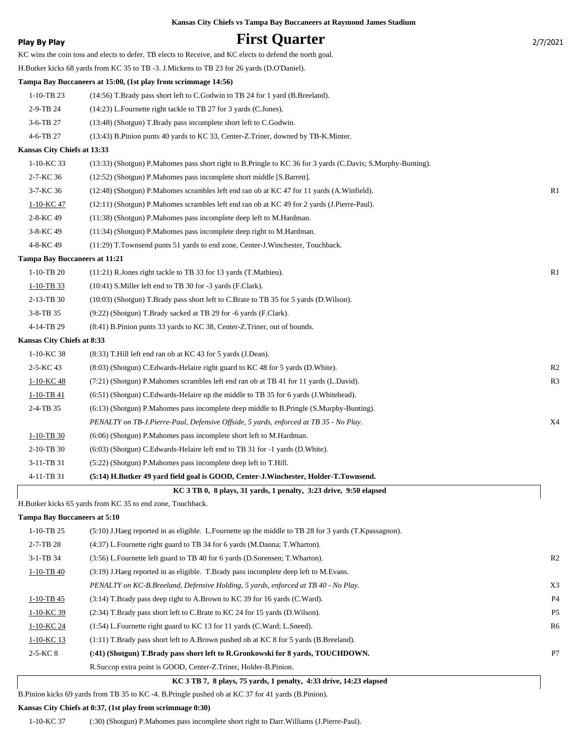|  |  | Kansas City Chiefs vs Tampa Bay Buccaneers at Raymond James Stadium |  |  |
|--|--|---------------------------------------------------------------------|--|--|
|  |  |                                                                     |  |  |

| Play By Play                         | <b>First Quarter</b>                                                                                        | 2/7/2021       |
|--------------------------------------|-------------------------------------------------------------------------------------------------------------|----------------|
|                                      | KC wins the coin toss and elects to defer. TB elects to Receive, and KC elects to defend the north goal.    |                |
|                                      | H.Butker kicks 68 yards from KC 35 to TB -3. J.Mickens to TB 23 for 26 yards (D.O'Daniel).                  |                |
|                                      | Tampa Bay Buccaneers at 15:00, (1st play from scrimmage 14:56)                                              |                |
| $1-10-TB$ 23                         | (14:56) T.Brady pass short left to C.Godwin to TB 24 for 1 yard (B.Breeland).                               |                |
| 2-9-TB 24                            | (14:23) L.Fournette right tackle to TB 27 for 3 yards (C.Jones).                                            |                |
| 3-6-TB 27                            | (13:48) (Shotgun) T.Brady pass incomplete short left to C.Godwin.                                           |                |
| 4-6-TB 27                            | (13:43) B.Pinion punts 40 yards to KC 33, Center-Z.Triner, downed by TB-K.Minter.                           |                |
| Kansas City Chiefs at 13:33          |                                                                                                             |                |
| $1-10-KC$ 33                         | (13:33) (Shotgun) P.Mahomes pass short right to B.Pringle to KC 36 for 3 yards (C.Davis; S.Murphy-Bunting). |                |
| 2-7-KC 36                            | (12:52) (Shotgun) P.Mahomes pass incomplete short middle [S.Barrett].                                       |                |
| 3-7-KC 36                            | (12:48) (Shotgun) P.Mahomes scrambles left end ran ob at KC 47 for 11 yards (A.Winfield).                   | R1             |
| 1-10-KC 47                           | (12:11) (Shotgun) P. Mahomes scrambles left end ran ob at KC 49 for 2 yards (J. Pierre-Paul).               |                |
| 2-8-KC 49                            | (11:38) (Shotgun) P.Mahomes pass incomplete deep left to M.Hardman.                                         |                |
| 3-8-KC 49                            | (11:34) (Shotgun) P.Mahomes pass incomplete deep right to M.Hardman.                                        |                |
| 4-8-KC 49                            | (11:29) T.Townsend punts 51 yards to end zone, Center-J.Winchester, Touchback.                              |                |
| <b>Tampa Bay Buccaneers at 11:21</b> |                                                                                                             |                |
| $1-10-TB$ 20                         | $(11:21)$ R. Jones right tackle to TB 33 for 13 yards (T. Mathieu).                                         | R1             |
| $1-10-TB$ 33                         | (10:41) S. Miller left end to TB 30 for -3 yards (F. Clark).                                                |                |
| 2-13-TB 30                           | (10:03) (Shotgun) T.Brady pass short left to C.Brate to TB 35 for 5 yards (D.Wilson).                       |                |
| 3-8-TB 35                            | (9:22) (Shotgun) T.Brady sacked at TB 29 for -6 yards (F.Clark).                                            |                |
| 4-14-TB 29                           | (8:41) B.Pinion punts 33 yards to KC 38, Center-Z.Triner, out of bounds.                                    |                |
| Kansas City Chiefs at 8:33           |                                                                                                             |                |
| 1-10-KC 38                           | (8:33) T.Hill left end ran ob at KC 43 for 5 yards (J.Dean).                                                |                |
| 2-5-KC 43                            | (8:03) (Shotgun) C.Edwards-Helaire right guard to KC 48 for 5 yards (D.White).                              | R <sub>2</sub> |
| 1-10-KC 48                           | (7:21) (Shotgun) P.Mahomes scrambles left end ran ob at TB 41 for 11 yards (L.David).                       | R <sub>3</sub> |
| $1-10-TB$ 41                         | $(6.51)$ (Shotgun) C. Edwards-Helaire up the middle to TB 35 for 6 yards (J. Whitehead).                    |                |
| 2-4-TB 35                            | (6:13) (Shotgun) P.Mahomes pass incomplete deep middle to B.Pringle (S.Murphy-Bunting).                     |                |
|                                      | PENALTY on TB-J.Pierre-Paul, Defensive Offside, 5 yards, enforced at TB 35 - No Play.                       | X4             |
| $1 - 10 - TB 30$                     | (6:06) (Shotgun) P.Mahomes pass incomplete short left to M.Hardman.                                         |                |
| 2-10-TB 30                           | $(6:03)$ (Shotgun) C. Edwards-Helaire left end to TB 31 for $-1$ yards (D. White).                          |                |
| 3-11-TB 31                           | (5:22) (Shotgun) P.Mahomes pass incomplete deep left to T.Hill.                                             |                |
| 4-11-TB 31                           | (5:14) H.Butker 49 yard field goal is GOOD, Center-J.Winchester, Holder-T.Townsend.                         |                |
|                                      | KC 3 TB 0, 8 plays, 31 yards, 1 penalty, 3:23 drive, 9:50 elapsed                                           |                |
|                                      | H.Butker kicks 65 yards from KC 35 to end zone, Touchback.                                                  |                |
| <b>Tampa Bay Buccaneers at 5:10</b>  |                                                                                                             |                |
| $1-10-TB$ 25                         | (5:10) J.Haeg reported in as eligible. L.Fournette up the middle to TB 28 for 3 yards (T.Kpassagnon).       |                |
| 2-7-TB 28                            | (4:37) L. Fournette right guard to TB 34 for 6 yards (M. Danna; T. Wharton).                                |                |

| $3-1-TB$ 34    | (3:56) L.Fournette left guard to TB 40 for 6 yards (D.Sorensen; T.Wharton).             | R <sub>2</sub> |
|----------------|-----------------------------------------------------------------------------------------|----------------|
| $1-10-TB$ 40   | (3:19) J. Haeg reported in as eligible. T. Brady pass incomplete deep left to M. Evans. |                |
|                | PENALTY on KC-B.Breeland, Defensive Holding, 5 yards, enforced at TB 40 - No Play.      | X <sub>3</sub> |
| $1-10-TB$ 45   | (3.14) T.Brady pass deep right to A.Brown to KC 39 for 16 yards (C.Ward).               | P <sub>4</sub> |
| $1-10-KC$ 39   | (2:34) T.Brady pass short left to C.Brate to KC 24 for 15 yards (D.Wilson).             | P <sub>5</sub> |
| 1-10-KC 24     | $(1:54)$ L. Fournette right guard to KC 13 for 11 yards $(C.Ward; L.Sneed)$ .           | R6             |
| $1-10-KC$ 13   | $(1:11)$ T.Brady pass short left to A.Brown pushed ob at KC 8 for 5 yards (B.Breeland). |                |
| $2 - 5 - KC 8$ | (:41) (Shotgun) T.Brady pass short left to R.Gronkowski for 8 yards, TOUCHDOWN.         | P <sub>7</sub> |
|                | R. Succop extra point is GOOD, Center-Z. Triner, Holder-B. Pinion.                      |                |

 **KC 3 TB 7, 8 plays, 75 yards, 1 penalty, 4:33 drive, 14:23 elapsed**

B.Pinion kicks 69 yards from TB 35 to KC -4. B.Pringle pushed ob at KC 37 for 41 yards (B.Pinion).

### **Kansas City Chiefs at 0:37, (1st play from scrimmage 0:30)**

1-10-KC 37 (:30) (Shotgun) P.Mahomes pass incomplete short right to Darr.Williams (J.Pierre-Paul).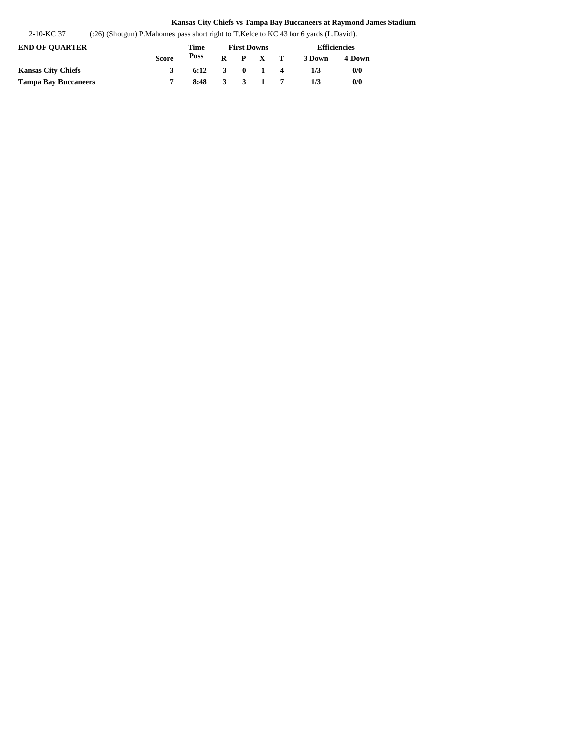2-10-KC 37 (:26) (Shotgun) P.Mahomes pass short right to T.Kelce to KC 43 for 6 yards (L.David).

| <b>END OF OUARTER</b>       |              | Time                                   | <b>First Downs</b> |                 | <b>Efficiencies</b> |        |  |
|-----------------------------|--------------|----------------------------------------|--------------------|-----------------|---------------------|--------|--|
|                             | <b>Score</b> | Poss                                   |                    | $R$ $P$ $X$ $T$ | 3 Down              | 4 Down |  |
| Kansas City Chiefs          | 3            | $6:12 \quad 3 \quad 0 \quad 1 \quad 4$ |                    |                 | 173                 | 0/0    |  |
| <b>Tampa Bay Buccaneers</b> |              | 8:48 3 3 1 7                           |                    |                 | 1/3                 | 0/0    |  |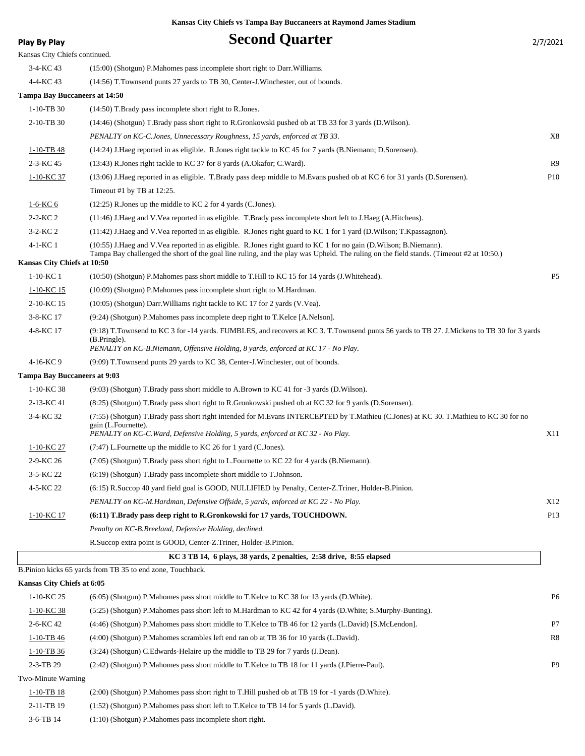$\overline{\phantom{a}}$ 

**Play By Play Second Quarter** 2/7/2021

| . .uy wyuy                          |                                                                                                                                                                                                                                                                  | 4114041         |
|-------------------------------------|------------------------------------------------------------------------------------------------------------------------------------------------------------------------------------------------------------------------------------------------------------------|-----------------|
| Kansas City Chiefs continued.       |                                                                                                                                                                                                                                                                  |                 |
| 3-4-KC 43                           | (15:00) (Shotgun) P. Mahomes pass incomplete short right to Darr. Williams.                                                                                                                                                                                      |                 |
| 4-4-KC 43                           | (14:56) T. Townsend punts 27 yards to TB 30, Center-J. Winchester, out of bounds.                                                                                                                                                                                |                 |
| Tampa Bay Buccaneers at 14:50       |                                                                                                                                                                                                                                                                  |                 |
| $1-10-TB30$                         | (14:50) T.Brady pass incomplete short right to R.Jones.                                                                                                                                                                                                          |                 |
| 2-10-TB 30                          | (14:46) (Shotgun) T.Brady pass short right to R.Gronkowski pushed ob at TB 33 for 3 yards (D.Wilson).                                                                                                                                                            |                 |
|                                     | PENALTY on KC-C.Jones, Unnecessary Roughness, 15 yards, enforced at TB 33.                                                                                                                                                                                       | X8              |
| 1-10-TB 48                          | (14:24) J.Haeg reported in as eligible. R.Jones right tackle to KC 45 for 7 yards (B.Niemann; D.Sorensen).                                                                                                                                                       |                 |
| 2-3-KC 45                           | (13:43) R.Jones right tackle to KC 37 for 8 yards (A.Okafor; C.Ward).                                                                                                                                                                                            | R <sub>9</sub>  |
| <u>1-10-KC 37</u>                   | (13:06) J.Haeg reported in as eligible. T.Brady pass deep middle to M.Evans pushed ob at KC 6 for 31 yards (D.Sorensen).                                                                                                                                         | P <sub>10</sub> |
|                                     | Timeout #1 by TB at 12:25.                                                                                                                                                                                                                                       |                 |
| 1-6-KC 6                            | $(12:25)$ R. Jones up the middle to KC 2 for 4 yards (C. Jones).                                                                                                                                                                                                 |                 |
| $2 - 2 - KC 2$                      | (11:46) J.Haeg and V.Vea reported in as eligible. T.Brady pass incomplete short left to J.Haeg (A.Hitchens).                                                                                                                                                     |                 |
| 3-2-KC 2                            | (11:42) J.Haeg and V.Vea reported in as eligible. R.Jones right guard to KC 1 for 1 yard (D.Wilson; T.Kpassagnon).                                                                                                                                               |                 |
| 4-1-KC 1                            | (10:55) J. Haeg and V. Vea reported in as eligible. R. Jones right guard to KC 1 for no gain (D. Wilson; B. Niemann).<br>Tampa Bay challenged the short of the goal line ruling, and the play was Upheld. The ruling on the field stands. (Timeout #2 at 10:50.) |                 |
| Kansas City Chiefs at 10:50         |                                                                                                                                                                                                                                                                  |                 |
| $1-10-KC$ 1                         | (10:50) (Shotgun) P.Mahomes pass short middle to T.Hill to KC 15 for 14 yards (J.Whitehead).                                                                                                                                                                     | P <sub>5</sub>  |
| 1-10-KC 15                          | (10:09) (Shotgun) P.Mahomes pass incomplete short right to M.Hardman.                                                                                                                                                                                            |                 |
| 2-10-KC 15                          | (10:05) (Shotgun) Darr. Williams right tackle to KC 17 for 2 yards (V.Vea).                                                                                                                                                                                      |                 |
| 3-8-KC 17                           | (9:24) (Shotgun) P.Mahomes pass incomplete deep right to T.Kelce [A.Nelson].                                                                                                                                                                                     |                 |
| 4-8-KC 17                           | (9:18) T.Townsend to KC 3 for -14 yards. FUMBLES, and recovers at KC 3. T.Townsend punts 56 yards to TB 27. J.Mickens to TB 30 for 3 yards<br>(B.Pringle).                                                                                                       |                 |
|                                     | PENALTY on KC-B.Niemann, Offensive Holding, 8 yards, enforced at KC 17 - No Play.                                                                                                                                                                                |                 |
| 4-16-KC 9                           | (9:09) T.Townsend punts 29 yards to KC 38, Center-J.Winchester, out of bounds.                                                                                                                                                                                   |                 |
| <b>Tampa Bay Buccaneers at 9:03</b> |                                                                                                                                                                                                                                                                  |                 |
| 1-10-KC 38                          | (9:03) (Shotgun) T.Brady pass short middle to A.Brown to KC 41 for -3 yards (D.Wilson).                                                                                                                                                                          |                 |
| 2-13-KC 41                          | (8:25) (Shotgun) T.Brady pass short right to R.Gronkowski pushed ob at KC 32 for 9 yards (D.Sorensen).                                                                                                                                                           |                 |
| 3-4-KC 32                           | (7:55) (Shotgun) T.Brady pass short right intended for M.Evans INTERCEPTED by T.Mathieu (C.Jones) at KC 30. T.Mathieu to KC 30 for no<br>gain (L.Fournette).<br>PENALTY on KC-C. Ward, Defensive Holding, 5 yards, enforced at KC 32 - No Play.                  | X11             |
| 1-10-KC 27                          | (7:47) L.Fournette up the middle to KC 26 for 1 yard (C.Jones).                                                                                                                                                                                                  |                 |
| 2-9-KC 26                           | (7:05) (Shotgun) T.Brady pass short right to L.Fournette to KC 22 for 4 yards (B.Niemann).                                                                                                                                                                       |                 |
| 3-5-KC 22                           | (6:19) (Shotgun) T.Brady pass incomplete short middle to T.Johnson.                                                                                                                                                                                              |                 |
| 4-5-KC 22                           | (6:15) R.Succop 40 yard field goal is GOOD, NULLIFIED by Penalty, Center-Z.Triner, Holder-B.Pinion.                                                                                                                                                              |                 |
|                                     | PENALTY on KC-M.Hardman, Defensive Offside, 5 yards, enforced at KC 22 - No Play.                                                                                                                                                                                | X12             |
| 1-10-KC 17                          | (6:11) T.Brady pass deep right to R.Gronkowski for 17 yards, TOUCHDOWN.                                                                                                                                                                                          | P <sub>13</sub> |
|                                     | Penalty on KC-B.Breeland, Defensive Holding, declined.                                                                                                                                                                                                           |                 |
|                                     | R. Succop extra point is GOOD, Center-Z. Triner, Holder-B. Pinion.                                                                                                                                                                                               |                 |
|                                     | KC 3 TB 14, 6 plays, 38 yards, 2 penalties, 2:58 drive, 8:55 elapsed                                                                                                                                                                                             |                 |
|                                     | B. Pinion kicks 65 yards from TB 35 to end zone, Touchback.                                                                                                                                                                                                      |                 |
| Kansas City Chiefs at 6:05          |                                                                                                                                                                                                                                                                  |                 |
| 1-10-KC 25                          | (6:05) (Shotgun) P. Mahomes pass short middle to T. Kelce to KC 38 for 13 yards (D. White).                                                                                                                                                                      | P <sub>6</sub>  |
| $1-10-KC$ 38                        | (5:25) (Shotgun) P.Mahomes pass short left to M.Hardman to KC 42 for 4 yards (D.White; S.Murphy-Bunting).                                                                                                                                                        |                 |
| 2-6-KC 42                           | (4:46) (Shotgun) P. Mahomes pass short middle to T. Kelce to TB 46 for 12 yards (L. David) [S. McLendon].                                                                                                                                                        | P7              |
| 1-10-TB 46                          | (4:00) (Shotgun) P. Mahomes scrambles left end ran ob at TB 36 for 10 yards (L. David).                                                                                                                                                                          | R8              |
|                                     |                                                                                                                                                                                                                                                                  |                 |
| $1-10-TB$ 36                        | (3.24) (Shotgun) C. Edwards-Helaire up the middle to TB 29 for 7 yards (J. Dean).                                                                                                                                                                                |                 |
| 2-3-TB 29                           | (2:42) (Shotgun) P.Mahomes pass short middle to T.Kelce to TB 18 for 11 yards (J.Pierre-Paul).                                                                                                                                                                   | P <sub>9</sub>  |
| Two-Minute Warning                  |                                                                                                                                                                                                                                                                  |                 |
| 1-10-TB 18                          | (2:00) (Shotgun) P. Mahomes pass short right to T. Hill pushed ob at TB 19 for -1 yards (D. White).                                                                                                                                                              |                 |
| 2-11-TB 19                          | (1:52) (Shotgun) P.Mahomes pass short left to T.Kelce to TB 14 for 5 yards (L.David).                                                                                                                                                                            |                 |
| 3-6-TB 14                           | $(1:10)$ (Shotgun) P. Mahomes pass incomplete short right.                                                                                                                                                                                                       |                 |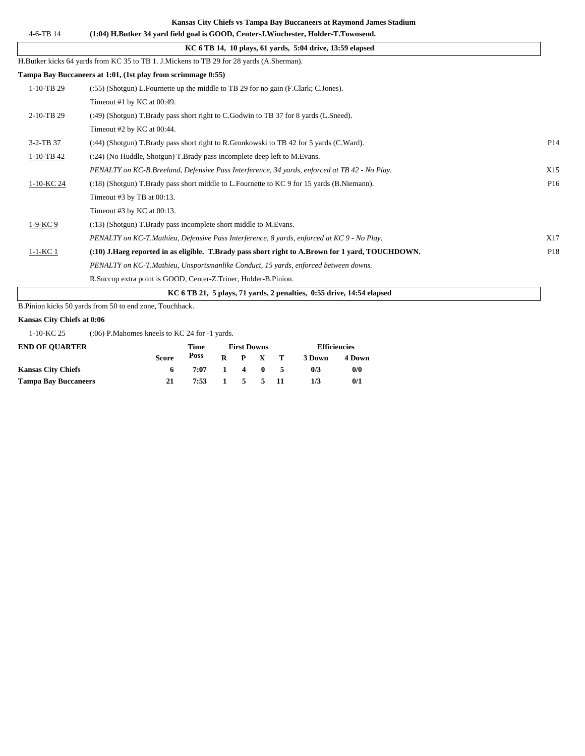| $4 - 6 - TB$ 14 | (1:04) H.Butker 34 vard field goal is GOOD, Center-J.Winchester, Holder-T.Townsend.              |                 |
|-----------------|--------------------------------------------------------------------------------------------------|-----------------|
|                 | KC 6 TB 14, 10 plays, 61 yards, 5:04 drive, 13:59 elapsed                                        |                 |
|                 | H.Butker kicks 64 yards from KC 35 to TB 1. J.Mickens to TB 29 for 28 yards (A.Sherman).         |                 |
|                 | Tampa Bay Buccaneers at 1:01, (1st play from scrimmage 0:55)                                     |                 |
| $1-10-TB$ 29    | (:55) (Shotgun) L.Fournette up the middle to TB 29 for no gain (F.Clark; C.Jones).               |                 |
|                 | Timeout #1 by KC at $00:49$ .                                                                    |                 |
| 2-10-TB 29      | (:49) (Shotgun) T.Brady pass short right to C.Godwin to TB 37 for 8 yards (L.Sneed).             |                 |
|                 | Timeout #2 by KC at 00:44.                                                                       |                 |
| 3-2-TB 37       | (:44) (Shotgun) T.Brady pass short right to R.Gronkowski to TB 42 for 5 yards (C.Ward).          | P <sub>14</sub> |
| 1-10-TB 42      | $(24)$ (No Huddle, Shotgun) T. Brady pass incomplete deep left to M. Evans.                      |                 |
|                 | PENALTY on KC-B.Breeland, Defensive Pass Interference, 34 yards, enforced at TB 42 - No Play.    | X15             |
| 1-10-KC 24      | (:18) (Shotgun) T.Brady pass short middle to L.Fournette to KC 9 for 15 yards (B.Niemann).       | P <sub>16</sub> |
|                 | Timeout #3 by TB at $00:13$ .                                                                    |                 |
|                 | Timeout #3 by KC at $00:13$ .                                                                    |                 |
| 1-9-KC 9        | (:13) (Shotgun) T.Brady pass incomplete short middle to M.Evans.                                 |                 |
|                 | PENALTY on KC-T.Mathieu, Defensive Pass Interference, 8 yards, enforced at KC 9 - No Play.       | X17             |
| $1-1-KC$ 1      | (:10) J.Haeg reported in as eligible. T.Brady pass short right to A.Brown for 1 yard, TOUCHDOWN. | P18             |
|                 | PENALTY on KC-T.Mathieu, Unsportsmanlike Conduct, 15 yards, enforced between downs.              |                 |
|                 | R.Succop extra point is GOOD, Center-Z.Triner, Holder-B.Pinion.                                  |                 |
|                 | KC 6 TB 21, 5 plays, 71 yards, 2 penalties, 0:55 drive, 14:54 elapsed                            |                 |

B.Pinion kicks 50 yards from 50 to end zone, Touchback.

## **Kansas City Chiefs at 0:06**

1-10-KC 25 (:06) P.Mahomes kneels to KC 24 for -1 yards.

| <b>END OF OUARTER</b>       |       | Time | <b>First Downs</b> |  | <b>Efficiencies</b> |        |
|-----------------------------|-------|------|--------------------|--|---------------------|--------|
|                             | Score | Poss | $R$ $P$ $X$ $T$    |  | 3 Down              | 4 Down |
| <b>Kansas City Chiefs</b>   | 6.    | 7:07 | 1 4 0 5            |  | 0/3                 | 0/0    |
| <b>Tampa Bay Buccaneers</b> | 21    | 7:53 | 1 5 5 11           |  | 1/3                 | 0/1    |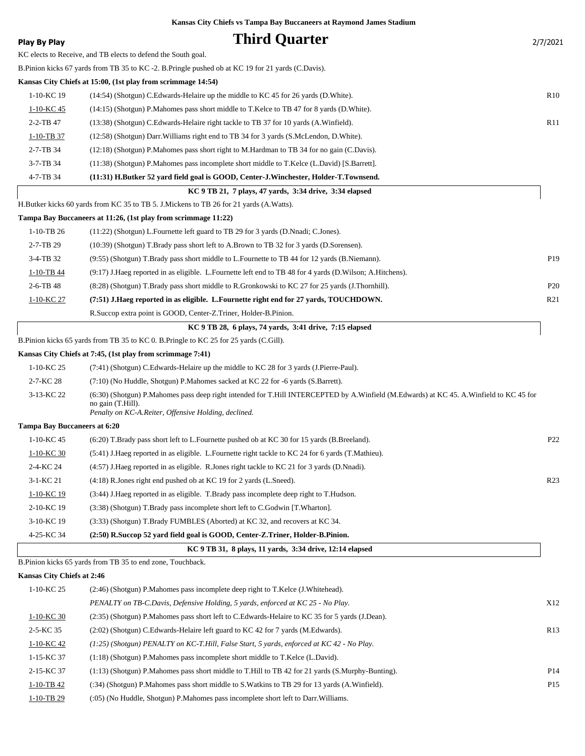| <b>Play By Play</b>                 | <b>Third Quarter</b>                                                                                                                                                                                                | 2/7/2021        |
|-------------------------------------|---------------------------------------------------------------------------------------------------------------------------------------------------------------------------------------------------------------------|-----------------|
|                                     | KC elects to Receive, and TB elects to defend the South goal.                                                                                                                                                       |                 |
|                                     | B.Pinion kicks 67 yards from TB 35 to KC -2. B.Pringle pushed ob at KC 19 for 21 yards (C.Davis).                                                                                                                   |                 |
|                                     | Kansas City Chiefs at 15:00, (1st play from scrimmage 14:54)                                                                                                                                                        |                 |
| 1-10-KC 19                          | (14:54) (Shotgun) C.Edwards-Helaire up the middle to KC 45 for 26 yards (D.White).                                                                                                                                  | R10             |
| 1-10-KC 45                          | (14:15) (Shotgun) P.Mahomes pass short middle to T.Kelce to TB 47 for 8 yards (D.White).                                                                                                                            |                 |
| 2-2-TB 47                           | (13:38) (Shotgun) C.Edwards-Helaire right tackle to TB 37 for 10 yards (A.Winfield).                                                                                                                                | R11             |
| 1-10-TB 37                          | (12.58) (Shotgun) Darr Williams right end to TB 34 for 3 yards (S.McLendon, D.White).                                                                                                                               |                 |
| 2-7-TB 34                           | (12:18) (Shotgun) P.Mahomes pass short right to M.Hardman to TB 34 for no gain (C.Davis).                                                                                                                           |                 |
| 3-7-TB 34                           | (11:38) (Shotgun) P.Mahomes pass incomplete short middle to T.Kelce (L.David) [S.Barrett].                                                                                                                          |                 |
| 4-7-TB 34                           | (11:31) H.Butker 52 yard field goal is GOOD, Center-J.Winchester, Holder-T.Townsend.                                                                                                                                |                 |
|                                     | KC 9 TB 21, 7 plays, 47 yards, 3:34 drive, 3:34 elapsed                                                                                                                                                             |                 |
|                                     | H.Butker kicks 60 yards from KC 35 to TB 5. J.Mickens to TB 26 for 21 yards (A.Watts).                                                                                                                              |                 |
|                                     | Tampa Bay Buccaneers at 11:26, (1st play from scrimmage 11:22)                                                                                                                                                      |                 |
| $1-10-TB$ 26                        | (11:22) (Shotgun) L.Fournette left guard to TB 29 for 3 yards (D.Nnadi; C.Jones).                                                                                                                                   |                 |
| 2-7-TB 29                           | (10:39) (Shotgun) T.Brady pass short left to A.Brown to TB 32 for 3 yards (D.Sorensen).                                                                                                                             |                 |
| 3-4-TB 32                           | (9:55) (Shotgun) T.Brady pass short middle to L.Fournette to TB 44 for 12 yards (B.Niemann).                                                                                                                        | P19             |
| 1-10-TB 44                          | (9:17) J.Haeg reported in as eligible. L.Fournette left end to TB 48 for 4 yards (D.Wilson; A.Hitchens).                                                                                                            |                 |
| 2-6-TB 48                           | (8:28) (Shotgun) T.Brady pass short middle to R.Gronkowski to KC 27 for 25 yards (J.Thornhill).                                                                                                                     | P <sub>20</sub> |
| 1-10-KC 27                          | (7:51) J.Haeg reported in as eligible. L.Fournette right end for 27 yards, TOUCHDOWN.                                                                                                                               | R <sub>21</sub> |
|                                     | R. Succop extra point is GOOD, Center-Z. Triner, Holder-B. Pinion.                                                                                                                                                  |                 |
|                                     | KC 9 TB 28, 6 plays, 74 yards, 3:41 drive, 7:15 elapsed                                                                                                                                                             |                 |
|                                     | B. Pinion kicks 65 yards from TB 35 to KC 0. B. Pringle to KC 25 for 25 yards (C. Gill).                                                                                                                            |                 |
|                                     | Kansas City Chiefs at 7:45, (1st play from scrimmage 7:41)                                                                                                                                                          |                 |
| 1-10-KC 25                          | (7:41) (Shotgun) C. Edwards-Helaire up the middle to KC 28 for 3 yards (J. Pierre-Paul).                                                                                                                            |                 |
| 2-7-KC 28                           | (7:10) (No Huddle, Shotgun) P.Mahomes sacked at KC 22 for -6 yards (S.Barrett).                                                                                                                                     |                 |
| 3-13-KC 22                          | (6:30) (Shotgun) P.Mahomes pass deep right intended for T.Hill INTERCEPTED by A.Winfield (M.Edwards) at KC 45. A.Winfield to KC 45 for<br>no gain (T.Hill).<br>Penalty on KC-A.Reiter, Offensive Holding, declined. |                 |
| <b>Tampa Bay Buccaneers at 6:20</b> |                                                                                                                                                                                                                     |                 |
| 1-10-KC 45                          | (6:20) T.Brady pass short left to L.Fournette pushed ob at KC 30 for 15 yards (B.Breeland).                                                                                                                         | P22             |
| $1-10-KC$ 30                        | (5.41) J.Haeg reported in as eligible. L.Fournette right tackle to KC 24 for 6 yards (T.Mathieu).                                                                                                                   |                 |
| 2-4-KC 24                           | (4:57) J. Haeg reported in as eligible. R. Jones right tackle to KC 21 for 3 yards (D. Nnadi).                                                                                                                      |                 |
| 3-1-KC 21                           | (4:18) R. Jones right end pushed ob at KC 19 for 2 yards (L. Sneed).                                                                                                                                                | R <sub>23</sub> |
| 1-10-KC 19                          | (3:44) J. Haeg reported in as eligible. T. Brady pass incomplete deep right to T. Hudson.                                                                                                                           |                 |
| 2-10-KC 19                          | (3:38) (Shotgun) T.Brady pass incomplete short left to C.Godwin [T.Wharton].                                                                                                                                        |                 |
| 3-10-KC 19                          | (3:33) (Shotgun) T.Brady FUMBLES (Aborted) at KC 32, and recovers at KC 34.                                                                                                                                         |                 |
| 4-25-KC 34                          | (2:50) R.Succop 52 yard field goal is GOOD, Center-Z.Triner, Holder-B.Pinion.                                                                                                                                       |                 |
|                                     | KC 9 TB 31, 8 plays, 11 yards, 3:34 drive, 12:14 elapsed                                                                                                                                                            |                 |
|                                     | B.Pinion kicks 65 yards from TB 35 to end zone, Touchback.                                                                                                                                                          |                 |
| Kansas City Chiefs at 2:46          |                                                                                                                                                                                                                     |                 |
| 1-10-KC 25                          | (2:46) (Shotgun) P.Mahomes pass incomplete deep right to T.Kelce (J.Whitehead).                                                                                                                                     |                 |
|                                     | PENALTY on TB-C.Davis, Defensive Holding, 5 yards, enforced at KC 25 - No Play.                                                                                                                                     | X12             |
| $1-10-KC$ 30                        | (2:35) (Shotgun) P.Mahomes pass short left to C.Edwards-Helaire to KC 35 for 5 yards (J.Dean).                                                                                                                      |                 |
| 2-5-KC 35                           | (2.02) (Shotgun) C. Edwards-Helaire left guard to KC 42 for 7 yards (M. Edwards).                                                                                                                                   | R13             |
| 1-10-KC 42                          | (1:25) (Shotgun) PENALTY on KC-T.Hill, False Start, 5 yards, enforced at KC 42 - No Play.                                                                                                                           |                 |
| 1-15-KC 37                          | $(1:18)$ (Shotgun) P.Mahomes pass incomplete short middle to T.Kelce (L.David).                                                                                                                                     |                 |
| 2-15-KC 37                          | (1:13) (Shotgun) P. Mahomes pass short middle to T. Hill to TB 42 for 21 yards (S. Murphy-Bunting).                                                                                                                 | P <sub>14</sub> |
| $1-10-TB$ 42                        | (34) (Shotgun) P. Mahomes pass short middle to S. Watkins to TB 29 for 13 yards (A. Winfield).                                                                                                                      | P <sub>15</sub> |
|                                     |                                                                                                                                                                                                                     |                 |

1-10-TB 29 (:05) (No Huddle, Shotgun) P.Mahomes pass incomplete short left to Darr.Williams.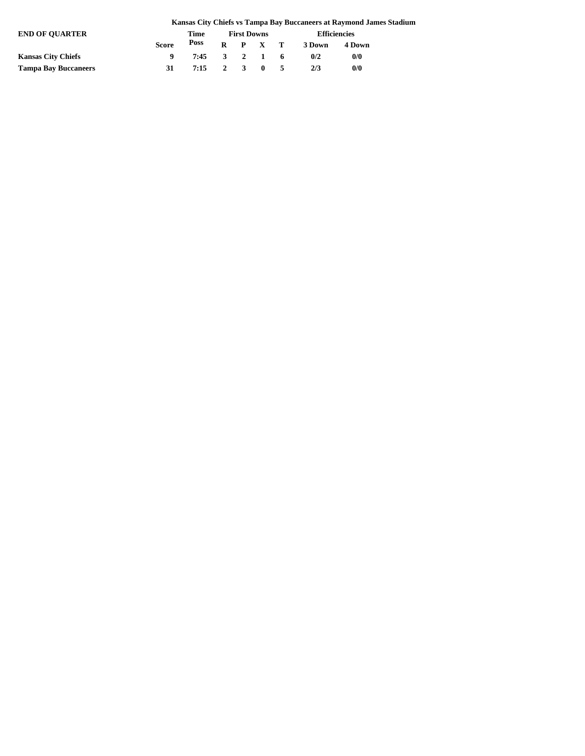|                             |              |              |                    |  |  |  |                     | Kansas City Chiefs vs Tampa Bay Buccaneers at Raymond James Stadium |  |
|-----------------------------|--------------|--------------|--------------------|--|--|--|---------------------|---------------------------------------------------------------------|--|
| <b>END OF OUARTER</b>       |              | Time         | <b>First Downs</b> |  |  |  | <b>Efficiencies</b> |                                                                     |  |
|                             | <b>Score</b> |              |                    |  |  |  | Poss R P X T 3Down  | 4 Down                                                              |  |
| <b>Kansas City Chiefs</b>   |              | 7:45 3 2 1 6 |                    |  |  |  | 0/2                 | 0/0                                                                 |  |
| <b>Tampa Bay Buccaneers</b> | 31           | 7:15 2 3 0 5 |                    |  |  |  | 2/3                 | 0/0                                                                 |  |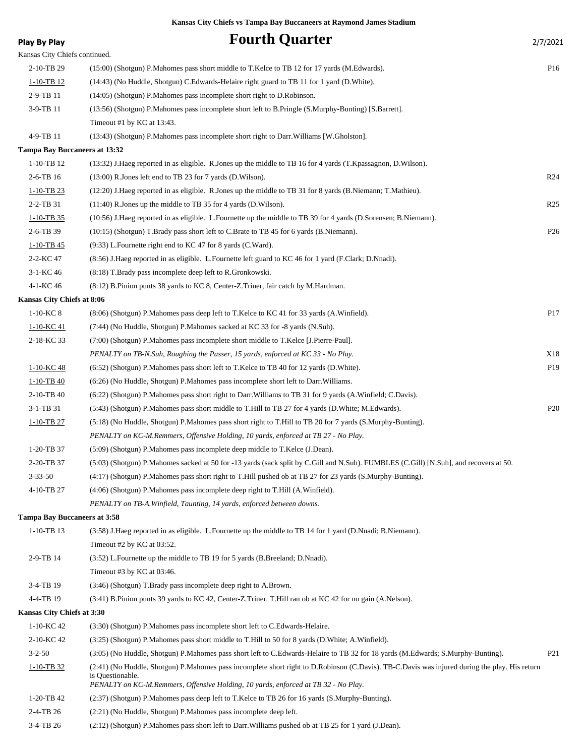| <b>Play By Play</b>           | <b>Fourth Quarter</b>                                                                                                                         | 2/7/2021        |
|-------------------------------|-----------------------------------------------------------------------------------------------------------------------------------------------|-----------------|
| Kansas City Chiefs continued. |                                                                                                                                               |                 |
| 2-10-TB 29                    | (15:00) (Shotgun) P. Mahomes pass short middle to T. Kelce to TB 12 for 17 yards (M. Edwards).                                                | P <sub>16</sub> |
| $1 - 10 - TB$ 12              | (14:43) (No Huddle, Shotgun) C.Edwards-Helaire right guard to TB 11 for 1 yard (D.White).                                                     |                 |
| 2-9-TB 11                     | (14:05) (Shotgun) P.Mahomes pass incomplete short right to D.Robinson.                                                                        |                 |
| 3-9-TB 11                     | (13:56) (Shotgun) P.Mahomes pass incomplete short left to B.Pringle (S.Murphy-Bunting) [S.Barrett].                                           |                 |
|                               | Timeout #1 by KC at 13:43.                                                                                                                    |                 |
| 4-9-TB 11                     | (13:43) (Shotgun) P. Mahomes pass incomplete short right to Darr. Williams [W. Gholston].                                                     |                 |
| Tampa Bay Buccaneers at 13:32 |                                                                                                                                               |                 |
| 1-10-TB 12                    | (13:32) J.Haeg reported in as eligible. R.Jones up the middle to TB 16 for 4 yards (T.Kpassagnon, D.Wilson).                                  |                 |
| 2-6-TB 16                     | $(13:00)$ R. Jones left end to TB 23 for 7 yards (D. Wilson).                                                                                 | R <sub>24</sub> |
| $1-10-TB$ 23                  | (12:20) J. Haeg reported in as eligible. R. Jones up the middle to TB 31 for 8 yards (B. Niemann; T. Mathieu).                                |                 |
| 2-2-TB 31                     | (11:40) R.Jones up the middle to TB 35 for 4 yards (D.Wilson).                                                                                | R <sub>25</sub> |
| $1-10-TB$ 35                  | (10:56) J.Haeg reported in as eligible. L.Fournette up the middle to TB 39 for 4 yards (D.Sorensen; B.Niemann).                               |                 |
| 2-6-TB 39                     | (10:15) (Shotgun) T.Brady pass short left to C.Brate to TB 45 for 6 yards (B.Niemann).                                                        | P <sub>26</sub> |
| $1-10-TB$ 45                  | $(9:33)$ L. Fournette right end to KC 47 for 8 yards (C. Ward).                                                                               |                 |
| 2-2-KC 47                     | (8.56) J.Haeg reported in as eligible. L.Fournette left guard to KC 46 for 1 yard (F.Clark; D.Nnadi).                                         |                 |
| $3-1-KC$ 46                   | (8:18) T.Brady pass incomplete deep left to R.Gronkowski.                                                                                     |                 |
| 4-1-KC 46                     | (8.12) B. Pinion punts 38 yards to KC 8, Center-Z. Triner, fair catch by M. Hardman.                                                          |                 |
| Kansas City Chiefs at 8:06    |                                                                                                                                               |                 |
| $1-10-KC$ 8                   | (8:06) (Shotgun) P.Mahomes pass deep left to T.Kelce to KC 41 for 33 yards (A.Winfield).                                                      | P17             |
| 1-10-KC 41                    | (7:44) (No Huddle, Shotgun) P.Mahomes sacked at KC 33 for -8 yards (N.Suh).                                                                   |                 |
| 2-18-KC 33                    | (7:00) (Shotgun) P. Mahomes pass incomplete short middle to T. Kelce [J. Pierre-Paul].                                                        |                 |
|                               | PENALTY on TB-N.Suh, Roughing the Passer, 15 yards, enforced at KC 33 - No Play.                                                              | X18             |
| 1-10-KC 48                    | (6.52) (Shotgun) P.Mahomes pass short left to T.Kelce to TB 40 for 12 yards (D.White).                                                        | P19             |
| $1-10-TB$ 40                  | (6:26) (No Huddle, Shotgun) P. Mahomes pass incomplete short left to Darr. Williams.                                                          |                 |
| 2-10-TB 40                    | (6:22) (Shotgun) P. Mahomes pass short right to Darr. Williams to TB 31 for 9 yards (A. Winfield; C. Davis).                                  |                 |
| 3-1-TB 31                     | (5:43) (Shotgun) P.Mahomes pass short middle to T.Hill to TB 27 for 4 yards (D.White; M.Edwards).                                             | P <sub>20</sub> |
| $1-10-TB$ 27                  | (5:18) (No Huddle, Shotgun) P. Mahomes pass short right to T. Hill to TB 20 for 7 yards (S. Murphy-Bunting).                                  |                 |
|                               | PENALTY on KC-M.Remmers, Offensive Holding, 10 yards, enforced at TB 27 - No Play.                                                            |                 |
| 1-20-TB 37                    | (5:09) (Shotgun) P.Mahomes pass incomplete deep middle to T.Kelce (J.Dean).                                                                   |                 |
| 2-20-TB 37                    | (5:03) (Shotgun) P.Mahomes sacked at 50 for -13 yards (sack split by C.Gill and N.Suh). FUMBLES (C.Gill) [N.Suh], and recovers at 50.         |                 |
| $3 - 33 - 50$                 | (4:17) (Shotgun) P.Mahomes pass short right to T.Hill pushed ob at TB 27 for 23 yards (S.Murphy-Bunting).                                     |                 |
| 4-10-TB 27                    | (4:06) (Shotgun) P.Mahomes pass incomplete deep right to T.Hill (A.Winfield).                                                                 |                 |
|                               | PENALTY on TB-A. Winfield, Taunting, 14 yards, enforced between downs.                                                                        |                 |
| Tampa Bay Buccaneers at 3:58  |                                                                                                                                               |                 |
| 1-10-TB 13                    | (3:58) J.Haeg reported in as eligible. L.Fournette up the middle to TB 14 for 1 yard (D.Nnadi; B.Niemann).                                    |                 |
|                               | Timeout #2 by KC at 03:52.                                                                                                                    |                 |
| 2-9-TB 14                     | (3.52) L. Fournette up the middle to TB 19 for 5 yards (B. Breeland; D. Nnadi).                                                               |                 |
|                               | Timeout #3 by KC at $03:46$ .                                                                                                                 |                 |
| 3-4-TB 19                     | (3:46) (Shotgun) T.Brady pass incomplete deep right to A.Brown.                                                                               |                 |
| 4-4-TB 19                     | (3:41) B.Pinion punts 39 yards to KC 42, Center-Z.Triner. T.Hill ran ob at KC 42 for no gain (A.Nelson).                                      |                 |
| Kansas City Chiefs at 3:30    |                                                                                                                                               |                 |
| 1-10-KC 42                    | (3:30) (Shotgun) P.Mahomes pass incomplete short left to C.Edwards-Helaire.                                                                   |                 |
| 2-10-KC 42                    | (3:25) (Shotgun) P.Mahomes pass short middle to T.Hill to 50 for 8 yards (D.White; A.Winfield).                                               |                 |
| $3 - 2 - 50$                  | (3:05) (No Huddle, Shotgun) P.Mahomes pass short left to C.Edwards-Helaire to TB 32 for 18 yards (M.Edwards; S.Murphy-Bunting).               | P <sub>21</sub> |
| $1-10-TB$ 32                  | (2:41) (No Huddle, Shotgun) P.Mahomes pass incomplete short right to D.Robinson (C.Davis). TB-C.Davis was injured during the play. His return |                 |
|                               | is Questionable.<br>PENALTY on KC-M.Remmers, Offensive Holding, 10 yards, enforced at TB 32 - No Play.                                        |                 |
| 1-20-TB 42                    | (2:37) (Shotgun) P.Mahomes pass deep left to T.Kelce to TB 26 for 16 yards (S.Murphy-Bunting).                                                |                 |
| $2-4-TB$ 26                   | (2:21) (No Huddle, Shotgun) P.Mahomes pass incomplete deep left.                                                                              |                 |
| 3-4-TB 26                     | (2:12) (Shotgun) P.Mahomes pass short left to Darr. Williams pushed ob at TB 25 for 1 yard (J.Dean).                                          |                 |
|                               |                                                                                                                                               |                 |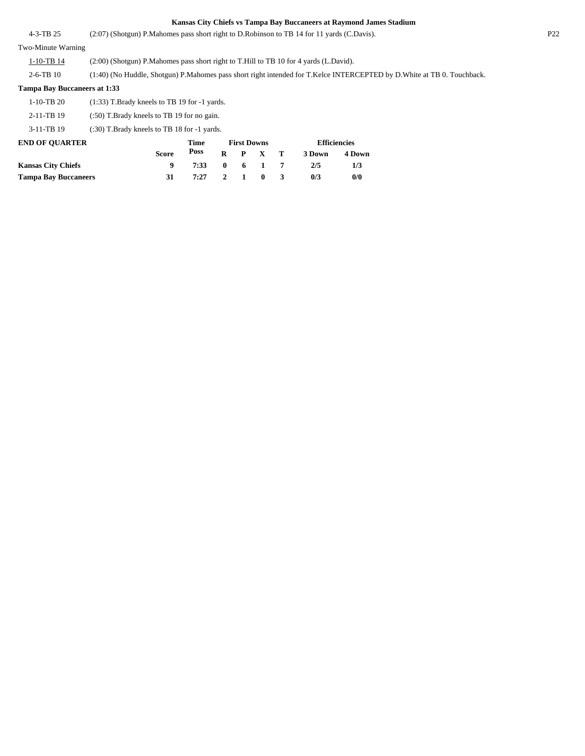| $4 - 3 - TB$ 25                     | (2:07) (Shotgun) P. Mahomes pass short right to D. Robinson to TB 14 for 11 yards (C. Davis). |                                                                                                                           |              |                    |              |   |        |                     | P <sub>22</sub> |  |
|-------------------------------------|-----------------------------------------------------------------------------------------------|---------------------------------------------------------------------------------------------------------------------------|--------------|--------------------|--------------|---|--------|---------------------|-----------------|--|
| Two-Minute Warning                  |                                                                                               |                                                                                                                           |              |                    |              |   |        |                     |                 |  |
| $1-10-TB$ 14                        | (2:00) (Shotgun) P.Mahomes pass short right to T.Hill to TB 10 for 4 yards (L.David).         |                                                                                                                           |              |                    |              |   |        |                     |                 |  |
| $2-6-TB$ 10                         |                                                                                               | (1:40) (No Huddle, Shotgun) P. Mahomes pass short right intended for T. Kelce INTERCEPTED by D. White at TB 0. Touchback. |              |                    |              |   |        |                     |                 |  |
| <b>Tampa Bay Buccaneers at 1:33</b> |                                                                                               |                                                                                                                           |              |                    |              |   |        |                     |                 |  |
| $1-10-TB$ 20                        |                                                                                               | $(1:33)$ T.Brady kneels to TB 19 for -1 yards.                                                                            |              |                    |              |   |        |                     |                 |  |
| 2-11-TB 19                          | $(.50)$ T. Brady kneels to TB 19 for no gain.                                                 |                                                                                                                           |              |                    |              |   |        |                     |                 |  |
| $3-11-TB$ 19                        | $(.30)$ T.Brady kneels to TB 18 for $-1$ yards.                                               |                                                                                                                           |              |                    |              |   |        |                     |                 |  |
| <b>END OF OUARTER</b>               |                                                                                               | <b>Time</b>                                                                                                               |              | <b>First Downs</b> |              |   |        | <b>Efficiencies</b> |                 |  |
|                                     | <b>Score</b>                                                                                  | Poss                                                                                                                      | $\bf{R}$     | P                  | X            | т | 3 Down | 4 Down              |                 |  |
| <b>Kansas City Chiefs</b>           | 9                                                                                             | 7:33                                                                                                                      | $\mathbf{0}$ | 6                  |              | 7 | 2/5    | 1/3                 |                 |  |
| <b>Tampa Bay Buccaneers</b>         | 31                                                                                            | 7:27                                                                                                                      | 2            |                    | $\mathbf{0}$ | 3 | 0/3    | 0/0                 |                 |  |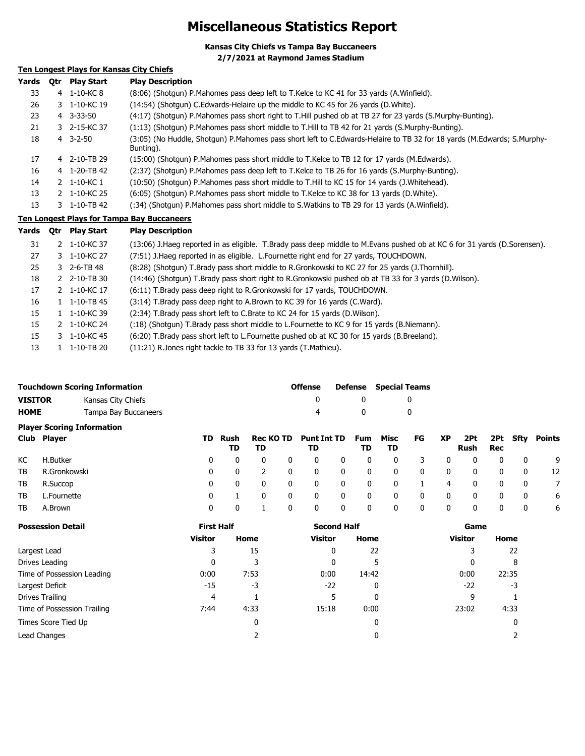## **Miscellaneous Statistics Report**

**Kansas City Chiefs vs Tampa Bay Buccaneers 2/7/2021 at Raymond James Stadium**

### **Ten Longest Plays for Kansas City Chiefs Ten Longest Plays for Tampa Bay Buccaneers Yards Qtr Play Start Play Description** 33 4 1-10-KC 8 (8:06) (Shotgun) P.Mahomes pass deep left to T.Kelce to KC 41 for 33 yards (A.Winfield). 26 3 1-10-KC 19 (14:54) (Shotgun) C.Edwards-Helaire up the middle to KC 45 for 26 yards (D.White). 23 4 3-33-50 (4:17) (Shotgun) P.Mahomes pass short right to T.Hill pushed ob at TB 27 for 23 yards (S.Murphy-Bunting). 21 3 2-15-KC 37 (1:13) (Shotgun) P.Mahomes pass short middle to T.Hill to TB 42 for 21 yards (S.Murphy-Bunting). 3-2-50 (3:05) (No Huddle, Shotgun) P.Mahomes pass short left to C.Edwards-Helaire to TB 32 for 18 yards (M.Edwards; S.Murphy-Bunting). 18 17 4 2-10-TB 29 (15:00) (Shotgun) P.Mahomes pass short middle to T.Kelce to TB 12 for 17 yards (M.Edwards). 16 4 1-20-TB 42 (2:37) (Shotgun) P.Mahomes pass deep left to T.Kelce to TB 26 for 16 yards (S.Murphy-Bunting). 14 2 1-10-KC 1 (10:50) (Shotgun) P.Mahomes pass short middle to T.Hill to KC 15 for 14 yards (J.Whitehead). 13 2 1-10-KC 25 (6:05) (Shotgun) P.Mahomes pass short middle to T.Kelce to KC 38 for 13 yards (D.White). 13 3 1-10-TB 42 (:34) (Shotgun) P.Mahomes pass short middle to S.Watkins to TB 29 for 13 yards (A.Winfield). **Yards Qtr Play Start Play Description** 31 2 1-10-KC 37 (13:06) J.Haeg reported in as eligible. T.Brady pass deep middle to M.Evans pushed ob at KC 6 for 31 yards (D.Sorensen). 27 3 1-10-KC 27 (7:51) J.Haeg reported in as eligible. L.Fournette right end for 27 yards, TOUCHDOWN. 25 3 2-6-TB 48 (8:28) (Shotgun) T.Brady pass short middle to R.Gronkowski to KC 27 for 25 yards (J.Thornhill). 2 2-10-TB 30 (14:46) (Shotgun) T.Brady pass short right to R.Gronkowski pushed ob at TB 33 for 3 yards (D.Wilson). 18

|    |                                | $\mathbf{r}$ , and $\mathbf{r}$ are always the complete the contract of the contract of the contract of the contract of $\mathbf{r}$ and $\mathbf{r}$ |
|----|--------------------------------|-------------------------------------------------------------------------------------------------------------------------------------------------------|
| 17 | 2 1-10-KC 17                   | (6:11) T.Brady pass deep right to R.Gronkowski for 17 yards, TOUCHDOWN.                                                                               |
| 16 | $1 \quad 1 - 10 - TB \quad 45$ | (3:14) T.Brady pass deep right to A.Brown to KC 39 for 16 yards (C.Ward).                                                                             |
| 15 | $1 \quad 1 - 10 - K C 39$      | (2:34) T.Brady pass short left to C.Brate to KC 24 for 15 yards (D.Wilson).                                                                           |
| 15 | 2 1-10-KC 24                   | (:18) (Shotgun) T.Brady pass short middle to L.Fournette to KC 9 for 15 yards (B.Niemann).                                                            |
| 15 | 3 1-10-KC 45                   | (6:20) T.Brady pass short left to L.Fournette pushed ob at KC 30 for 15 yards (B.Breeland).                                                           |
| 13 | $1 \quad 1 - 10 - TB \quad 20$ | (11:21) R.Jones right tackle to TB 33 for 13 yards (T.Mathieu).                                                                                       |

|                | <b>Touchdown Scoring Information</b> | <b>Offense</b> | Defense Special Teams |
|----------------|--------------------------------------|----------------|-----------------------|
| <b>VISITOR</b> | Kansas City Chiefs                   |                |                       |
| <b>HOME</b>    | Tampa Bay Buccaneers                 |                |                       |
|                | <b>Plaver Scoring Information</b>    |                |                       |

|      | Club Player  |          | TD Rush<br>TD | TD       |     | Rec KO TD Punt Int TD Fum Misc<br>TD |                | TD.                     | TD.                     | FG XP                      |                | Rush Rec                |                          |                         | 2Pt 2Pt Sfty Points |
|------|--------------|----------|---------------|----------|-----|--------------------------------------|----------------|-------------------------|-------------------------|----------------------------|----------------|-------------------------|--------------------------|-------------------------|---------------------|
| KC   | H.Butker     | 0        | $\Omega$      | $\Omega$ | 0   | $\mathbf{0}$                         | $\mathbf 0$    | $\mathbf{0}$            | $\mathbf{0}$            | - 3                        | $\mathbf 0$    | $\overline{\mathbf{0}}$ | - 0                      | - 0                     | - 9                 |
| TB . | R.Gronkowski | 0        | $\Omega$      |          | - 0 | $\mathbf{0}$                         | $\mathbf 0$    | 0                       | $\overline{\mathbf{0}}$ | $\overline{\mathbf{0}}$    | $\mathbf{0}$   | $\overline{\mathbf{0}}$ | 0                        | 0                       | - 12                |
|      | TB R.Succop  | $\Omega$ | $\Omega$      | $\Omega$ | 0   | $\Omega$                             | $\mathbf{0}$   | $\mathbf{0}$            | $\overline{\mathbf{0}}$ | $\overline{\phantom{a}}$ 1 | -4             | $\overline{0}$          | $\overline{0}$           | $\overline{0}$          | 7                   |
| TB   | L.Fournette  | 0        |               | $\Omega$ | - 0 | $\mathbf 0$                          | $\mathbf{0}$   | $\overline{\mathbf{0}}$ | $\overline{\mathbf{0}}$ | $\overline{\mathbf{0}}$    | $\overline{0}$ | $\overline{\mathbf{0}}$ | $\overline{\phantom{0}}$ | $\overline{\mathbf{0}}$ | - 6                 |
| TB   | A.Brown      | 0        | $\Omega$      |          | 0   | $\mathbf 0$                          | $\overline{0}$ | 0                       | $\overline{0}$          | 0                          | $\mathbf 0$    | 0                       | 0                        | 0                       | - 6                 |

| <b>Possession Detail</b>    | <b>First Half</b> |      | <b>Second Half</b> |       | Game           |       |  |  |
|-----------------------------|-------------------|------|--------------------|-------|----------------|-------|--|--|
|                             | <b>Visitor</b>    | Home | Visitor            | Home  | <b>Visitor</b> | Home  |  |  |
| Largest Lead                |                   | 15   | 0                  | 22    |                | 22    |  |  |
| Drives Leading              |                   | 3    |                    |       |                | 8     |  |  |
| Time of Possession Leading  | 0:00              | 7:53 | 0:00               | 14:42 | 0:00           | 22:35 |  |  |
| Largest Deficit             | $-15$             | -3   | $-22$              | 0     | $-22$          | -3    |  |  |
| Drives Trailing             | 4                 |      |                    | 0     | 9              |       |  |  |
| Time of Possession Trailing | 7:44              | 4:33 | 15:18              | 0:00  | 23:02          | 4:33  |  |  |
| Times Score Tied Up         |                   | 0    |                    | 0     |                | 0     |  |  |
| Lead Changes                |                   |      |                    | 0     |                |       |  |  |